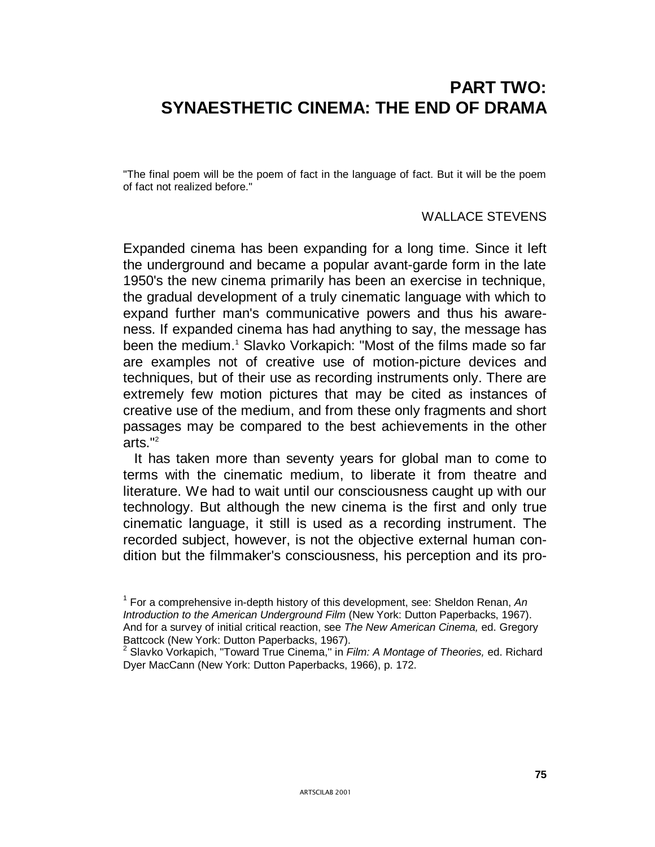## **PART TWO: SYNAESTHETIC CINEMA: THE END OF DRAMA**

"The final poem will be the poem of fact in the language of fact. But it will be the poem of fact not realized before."

### WALLACE STEVENS

Expanded cinema has been expanding for a long time. Since it left the underground and became a popular avant-garde form in the late 1950's the new cinema primarily has been an exercise in technique, the gradual development of a truly cinematic language with which to expand further man's communicative powers and thus his awareness. If expanded cinema has had anything to say, the message has been the medium.<sup>1</sup> Slavko Vorkapich: "Most of the films made so far are examples not of creative use of motion-picture devices and techniques, but of their use as recording instruments only. There are extremely few motion pictures that may be cited as instances of creative use of the medium, and from these only fragments and short passages may be compared to the best achievements in the other arts."<sup>2</sup>

It has taken more than seventy years for global man to come to terms with the cinematic medium, to liberate it from theatre and literature. We had to wait until our consciousness caught up with our technology. But although the new cinema is the first and only true cinematic language, it still is used as a recording instrument. The recorded subject, however, is not the objective external human condition but the filmmaker's consciousness, his perception and its pro-

<sup>1</sup> For a comprehensive in-depth history of this development, see: Sheldon Renan, *An Introduction to the American Underground Film* (New York: Dutton Paperbacks, 1967). And for a survey of initial critical reaction, see *The New American Cinema,* ed. Gregory Battcock (New York: Dutton Paperbacks, 1967).

<sup>2</sup> Slavko Vorkapich, "Toward True Cinema,'' in *Film: A Montage of Theories,* ed. Richard Dyer MacCann (New York: Dutton Paperbacks, 1966), p. 172.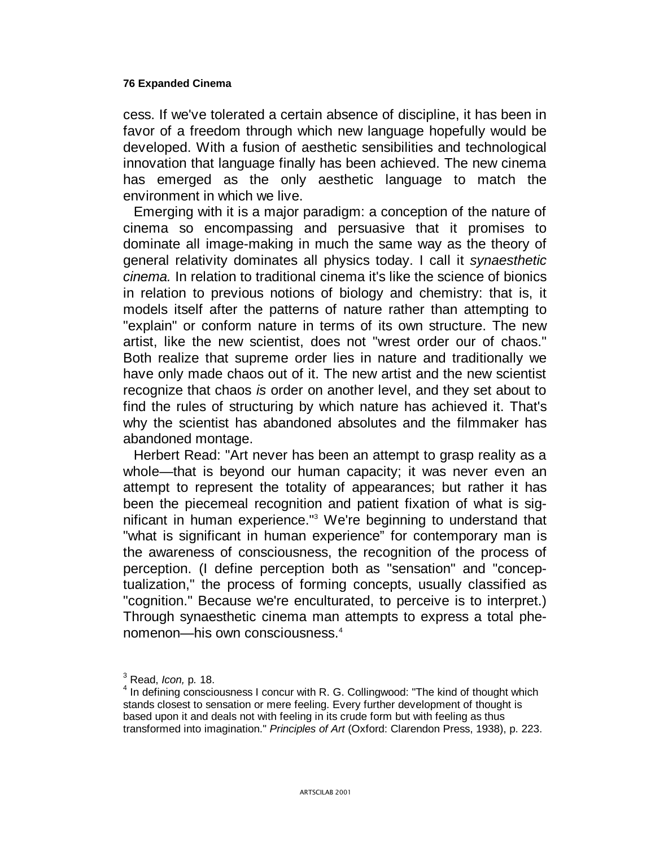cess. If we've tolerated a certain absence of discipline, it has been in favor of a freedom through which new language hopefully would be developed. With a fusion of aesthetic sensibilities and technological innovation that language finally has been achieved. The new cinema has emerged as the only aesthetic language to match the environment in which we live.

Emerging with it is a major paradigm: a conception of the nature of cinema so encompassing and persuasive that it promises to dominate all image-making in much the same way as the theory of general relativity dominates all physics today. I call it *synaesthetic cinema.* In relation to traditional cinema it's like the science of bionics in relation to previous notions of biology and chemistry: that is, it models itself after the patterns of nature rather than attempting to "explain" or conform nature in terms of its own structure. The new artist, like the new scientist, does not "wrest order our of chaos." Both realize that supreme order lies in nature and traditionally we have only made chaos out of it. The new artist and the new scientist recognize that chaos *is* order on another level, and they set about to find the rules of structuring by which nature has achieved it. That's why the scientist has abandoned absolutes and the filmmaker has abandoned montage.

Herbert Read: "Art never has been an attempt to grasp reality as a whole— that is beyond our human capacity; it was never even an attempt to represent the totality of appearances; but rather it has been the piecemeal recognition and patient fixation of what is significant in human experience."<sup>3</sup> We're beginning to understand that "what is significant in human experience" for contemporary man is the awareness of consciousness, the recognition of the process of perception. (I define perception both as "sensation" and "conceptualization," the process of forming concepts, usually classified as "cognition." Because we're enculturated, to perceive is to interpret.) Through synaesthetic cinema man attempts to express a total phenomenon—his own consciousness.<sup>4</sup>

<sup>3</sup> Read, *Icon,* p*.* 18.

<sup>&</sup>lt;sup>4</sup> In defining consciousness I concur with R. G. Collingwood: "The kind of thought which stands closest to sensation or mere feeling. Every further development of thought is based upon it and deals not with feeling in its crude form but with feeling as thus transformed into imagination." *Principles of Art* (Oxford: Clarendon Press, 1938), p. 223.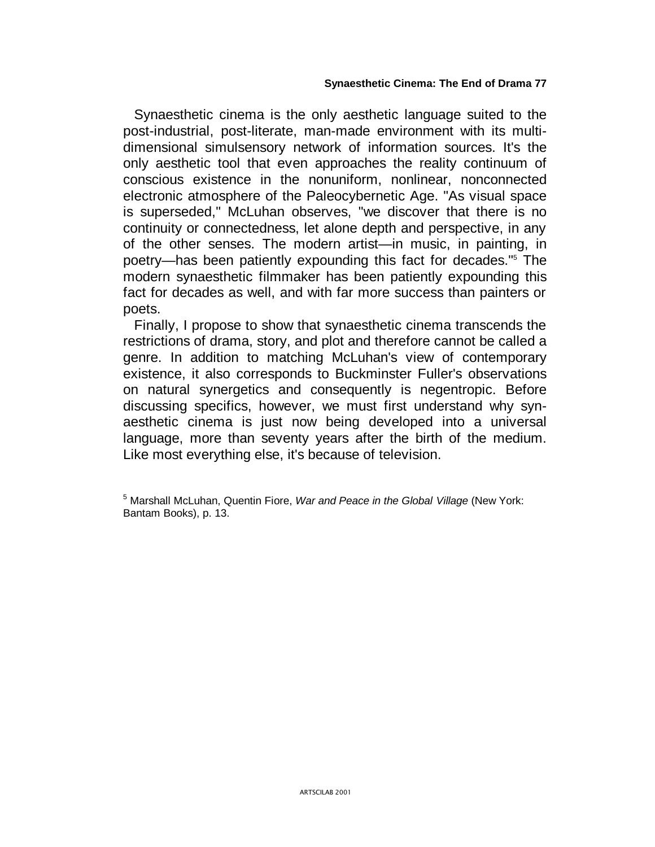Synaesthetic cinema is the only aesthetic language suited to the post-industrial, post-literate, man-made environment with its multidimensional simulsensory network of information sources. It's the only aesthetic tool that even approaches the reality continuum of conscious existence in the nonuniform, nonlinear, nonconnected electronic atmosphere of the Paleocybernetic Age. "As visual space is superseded," McLuhan observes, "we discover that there is no continuity or connectedness, let alone depth and perspective, in any of the other senses. The modern artist— in music, in painting, in poetry— has been patiently expounding this fact for decades."<sup>5</sup> The modern synaesthetic filmmaker has been patiently expounding this fact for decades as well, and with far more success than painters or poets.

Finally, I propose to show that synaesthetic cinema transcends the restrictions of drama, story, and plot and therefore cannot be called a genre. In addition to matching McLuhan's view of contemporary existence, it also corresponds to Buckminster Fuller's observations on natural synergetics and consequently is negentropic. Before discussing specifics, however, we must first understand why synaesthetic cinema is just now being developed into a universal language, more than seventy years after the birth of the medium. Like most everything else, it's because of television.

5 Marshall McLuhan, Quentin Fiore, *War and Peace in the Global Village* (New York: Bantam Books), p. 13.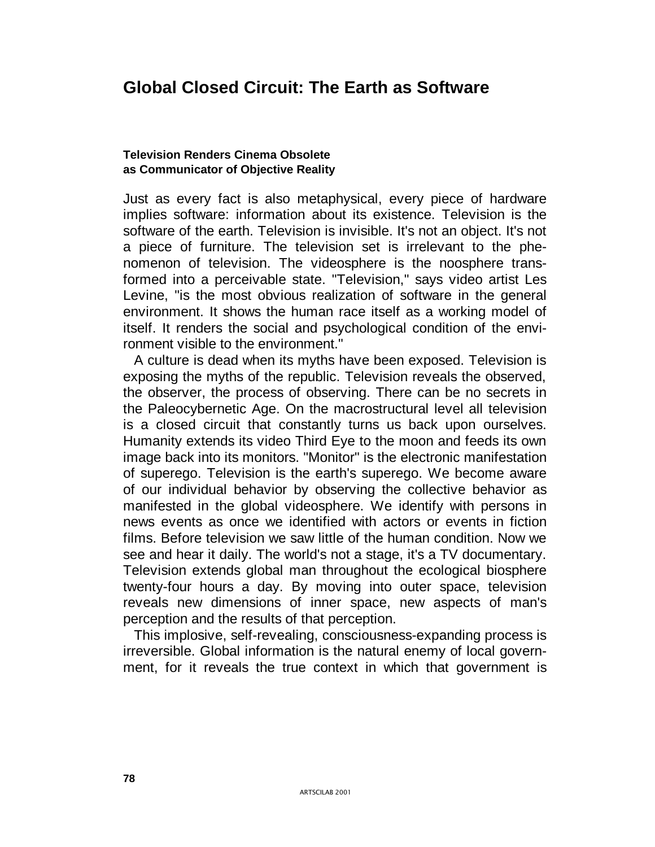# **Global Closed Circuit: The Earth as Software**

### **Television Renders Cinema Obsolete as Communicator of Objective Reality**

Just as every fact is also metaphysical, every piece of hardware implies software: information about its existence. Television is the software of the earth. Television is invisible. It's not an object. It's not a piece of furniture. The television set is irrelevant to the phenomenon of television. The videosphere is the noosphere transformed into a perceivable state. "Television," says video artist Les Levine, "is the most obvious realization of software in the general environment. It shows the human race itself as a working model of itself. It renders the social and psychological condition of the environment visible to the environment."

A culture is dead when its myths have been exposed. Television is exposing the myths of the republic. Television reveals the observed, the observer, the process of observing. There can be no secrets in the Paleocybernetic Age. On the macrostructural level all television is a closed circuit that constantly turns us back upon ourselves. Humanity extends its video Third Eye to the moon and feeds its own image back into its monitors. "Monitor" is the electronic manifestation of superego. Television is the earth's superego. We become aware of our individual behavior by observing the collective behavior as manifested in the global videosphere. We identify with persons in news events as once we identified with actors or events in fiction films. Before television we saw little of the human condition. Now we see and hear it daily. The world's not a stage, it's a TV documentary. Television extends global man throughout the ecological biosphere twenty-four hours a day. By moving into outer space, television reveals new dimensions of inner space, new aspects of man's perception and the results of that perception.

This implosive, self-revealing, consciousness-expanding process is irreversible. Global information is the natural enemy of local government, for it reveals the true context in which that government is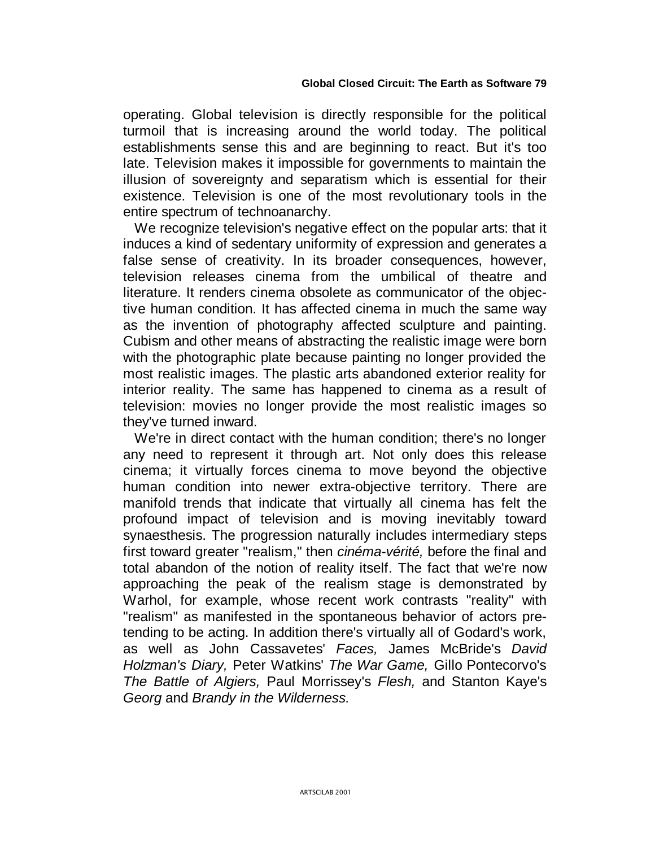operating. Global television is directly responsible for the political turmoil that is increasing around the world today. The political establishments sense this and are beginning to react. But it's too late. Television makes it impossible for governments to maintain the illusion of sovereignty and separatism which is essential for their existence. Television is one of the most revolutionary tools in the entire spectrum of technoanarchy.

We recognize television's negative effect on the popular arts: that it induces a kind of sedentary uniformity of expression and generates a false sense of creativity. In its broader consequences, however, television releases cinema from the umbilical of theatre and literature. It renders cinema obsolete as communicator of the objective human condition. It has affected cinema in much the same way as the invention of photography affected sculpture and painting. Cubism and other means of abstracting the realistic image were born with the photographic plate because painting no longer provided the most realistic images. The plastic arts abandoned exterior reality for interior reality. The same has happened to cinema as a result of television: movies no longer provide the most realistic images so they've turned inward.

We're in direct contact with the human condition; there's no longer any need to represent it through art. Not only does this release cinema; it virtually forces cinema to move beyond the objective human condition into newer extra-objective territory. There are manifold trends that indicate that virtually all cinema has felt the profound impact of television and is moving inevitably toward synaesthesis. The progression naturally includes intermediary steps first toward greater "realism," then *cinéma-vérité,* before the final and total abandon of the notion of reality itself. The fact that we're now approaching the peak of the realism stage is demonstrated by Warhol, for example, whose recent work contrasts "reality" with "realism" as manifested in the spontaneous behavior of actors pretending to be acting. In addition there's virtually all of Godard's work, as well as John Cassavetes' *Faces,* James McBride's *David Holzman's Diary,* Peter Watkins' *The War Game,* Gillo Pontecorvo's *The Battle of Algiers,* Paul Morrissey's *Flesh,* and Stanton Kaye's *Georg* and *Brandy in the Wilderness.*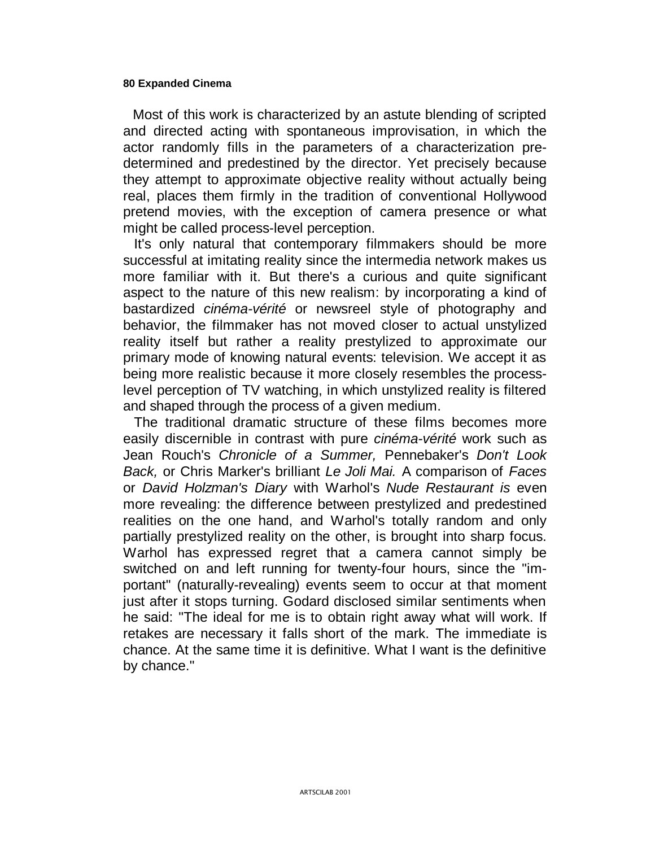Most of this work is characterized by an astute blending of scripted and directed acting with spontaneous improvisation, in which the actor randomly fills in the parameters of a characterization predetermined and predestined by the director. Yet precisely because they attempt to approximate objective reality without actually being real, places them firmly in the tradition of conventional Hollywood pretend movies, with the exception of camera presence or what might be called process-level perception.

It's only natural that contemporary filmmakers should be more successful at imitating reality since the intermedia network makes us more familiar with it. But there's a curious and quite significant aspect to the nature of this new realism: by incorporating a kind of bastardized *cinéma-vérité* or newsreel style of photography and behavior, the filmmaker has not moved closer to actual unstylized reality itself but rather a reality prestylized to approximate our primary mode of knowing natural events: television. We accept it as being more realistic because it more closely resembles the processlevel perception of TV watching, in which unstylized reality is filtered and shaped through the process of a given medium.

The traditional dramatic structure of these films becomes more easily discernible in contrast with pure *cinéma-vérité* work such as Jean Rouch's *Chronicle of a Summer,* Pennebaker's *Don't Look Back,* or Chris Marker's brilliant *Le Joli Mai.* A comparison of *Faces*  or *David Holzman's Diary* with Warhol's *Nude Restaurant is* even more revealing: the difference between prestylized and predestined realities on the one hand, and Warhol's totally random and only partially prestylized reality on the other, is brought into sharp focus. Warhol has expressed regret that a camera cannot simply be switched on and left running for twenty-four hours, since the "important" (naturally-revealing) events seem to occur at that moment just after it stops turning. Godard disclosed similar sentiments when he said: "The ideal for me is to obtain right away what will work. If retakes are necessary it falls short of the mark. The immediate is chance. At the same time it is definitive. What I want is the definitive by chance."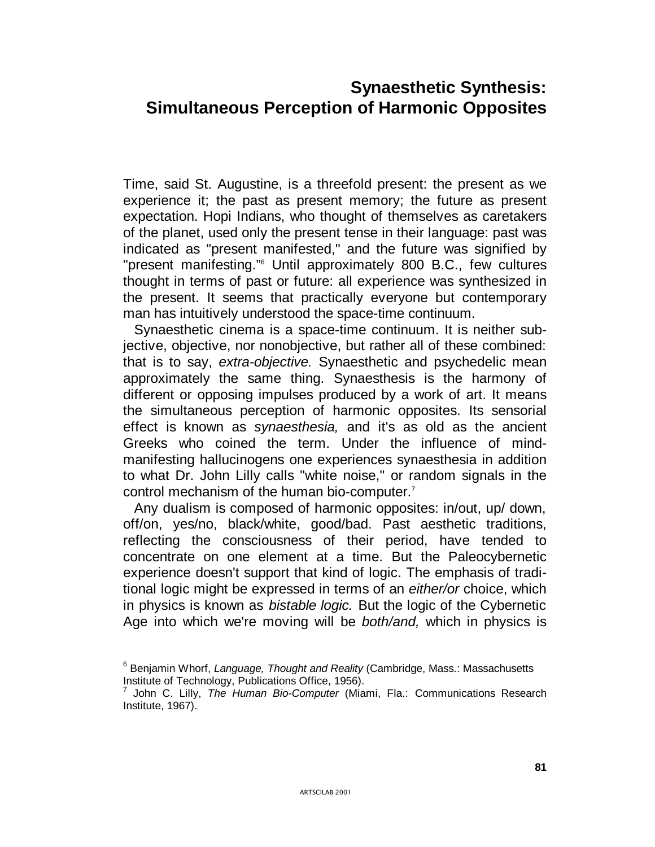# **Synaesthetic Synthesis: Simultaneous Perception of Harmonic Opposites**

Time, said St. Augustine, is a threefold present: the present as we experience it; the past as present memory; the future as present expectation. Hopi Indians, who thought of themselves as caretakers of the planet, used only the present tense in their language: past was indicated as "present manifested," and the future was signified by "present manifesting."<sup>6</sup> Until approximately 800 B.C., few cultures thought in terms of past or future: all experience was synthesized in the present. It seems that practically everyone but contemporary man has intuitively understood the space-time continuum.

Synaesthetic cinema is a space-time continuum. It is neither subjective, objective, nor nonobjective, but rather all of these combined: that is to say, *extra-objective.* Synaesthetic and psychedelic mean approximately the same thing. Synaesthesis is the harmony of different or opposing impulses produced by a work of art. It means the simultaneous perception of harmonic opposites. Its sensorial effect is known as *synaesthesia,* and it's as old as the ancient Greeks who coined the term. Under the influence of mindmanifesting hallucinogens one experiences synaesthesia in addition to what Dr. John Lilly calls "white noise," or random signals in the control mechanism of the human bio-computer.<sup>7</sup>

Any dualism is composed of harmonic opposites: in/out, up/ down, off/on, yes/no, black/white, good/bad. Past aesthetic traditions, reflecting the consciousness of their period, have tended to concentrate on one element at a time. But the Paleocybernetic experience doesn't support that kind of logic. The emphasis of traditional logic might be expressed in terms of an *either/or* choice, which in physics is known as *bistable logic.* But the logic of the Cybernetic Age into which we're moving will be *both/and,* which in physics is

<sup>6</sup> Benjamin Whorf, *Language, Thought and Reality* (Cambridge, Mass.: Massachusetts Institute of Technology, Publications Office, 1956).

<sup>7</sup> John C. Lilly, *The Human Bio-Computer* (Miami, Fla.: Communications Research Institute, 1967).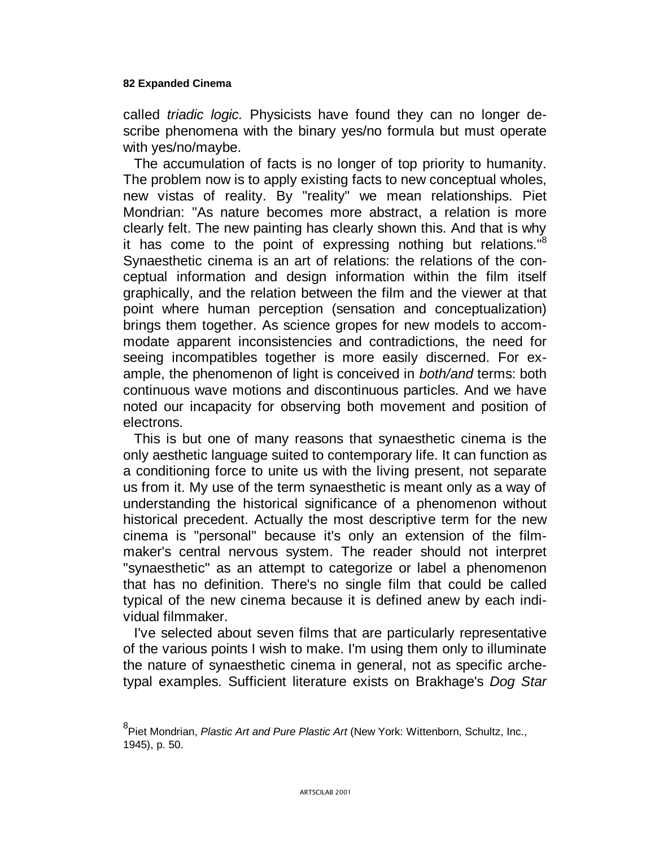called *triadic logic.* Physicists have found they can no longer describe phenomena with the binary yes/no formula but must operate with yes/no/maybe.

The accumulation of facts is no longer of top priority to humanity. The problem now is to apply existing facts to new conceptual wholes, new vistas of reality. By "reality" we mean relationships. Piet Mondrian: "As nature becomes more abstract, a relation is more clearly felt. The new painting has clearly shown this. And that is why it has come to the point of expressing nothing but relations.<sup>"8</sup> Synaesthetic cinema is an art of relations: the relations of the conceptual information and design information within the film itself graphically, and the relation between the film and the viewer at that point where human perception (sensation and conceptualization) brings them together. As science gropes for new models to accommodate apparent inconsistencies and contradictions, the need for seeing incompatibles together is more easily discerned. For example, the phenomenon of light is conceived in *both/and* terms: both continuous wave motions and discontinuous particles. And we have noted our incapacity for observing both movement and position of electrons.

This is but one of many reasons that synaesthetic cinema is the only aesthetic language suited to contemporary life. It can function as a conditioning force to unite us with the living present, not separate us from it. My use of the term synaesthetic is meant only as a way of understanding the historical significance of a phenomenon without historical precedent. Actually the most descriptive term for the new cinema is "personal" because it's only an extension of the filmmaker's central nervous system. The reader should not interpret "synaesthetic" as an attempt to categorize or label a phenomenon that has no definition. There's no single film that could be called typical of the new cinema because it is defined anew by each individual filmmaker.

I've selected about seven films that are particularly representative of the various points I wish to make. I'm using them only to illuminate the nature of synaesthetic cinema in general, not as specific archetypal examples. Sufficient literature exists on Brakhage's *Dog Star*

<sup>8</sup> Piet Mondrian, *Plastic Art and Pure Plastic Art* (New York: Wittenborn, Schultz, Inc., 1945), p. 50.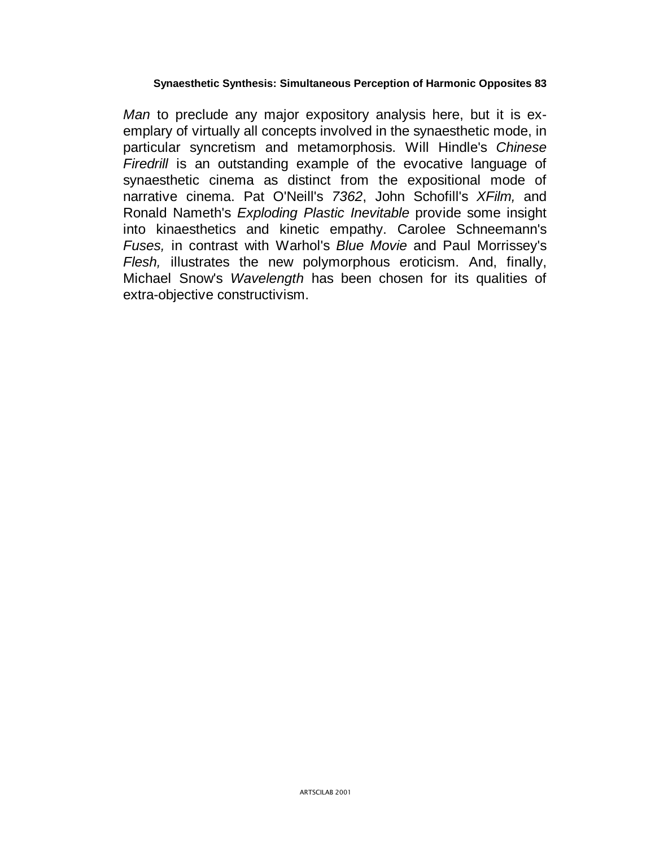#### **Synaesthetic Synthesis: Simultaneous Perception of Harmonic Opposites 83**

*Man* to preclude any major expository analysis here, but it is exemplary of virtually all concepts involved in the synaesthetic mode, in particular syncretism and metamorphosis. Will Hindle's *Chinese Firedrill* is an outstanding example of the evocative language of synaesthetic cinema as distinct from the expositional mode of narrative cinema. Pat O'Neill's *7362*, John Schofill's *XFilm,* and Ronald Nameth's *Exploding Plastic Inevitable* provide some insight into kinaesthetics and kinetic empathy. Carolee Schneemann's *Fuses,* in contrast with Warhol's *Blue Movie* and Paul Morrissey's *Flesh,* illustrates the new polymorphous eroticism. And, finally, Michael Snow's *Wavelength* has been chosen for its qualities of extra-objective constructivism.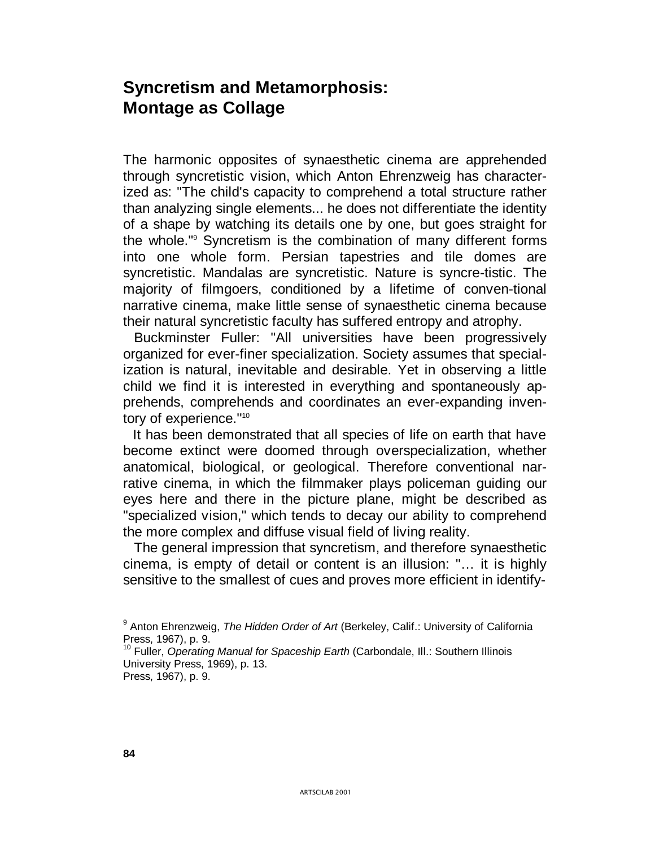# **Syncretism and Metamorphosis: Montage as Collage**

The harmonic opposites of synaesthetic cinema are apprehended through syncretistic vision, which Anton Ehrenzweig has characterized as: "The child's capacity to comprehend a total structure rather than analyzing single elements... he does not differentiate the identity of a shape by watching its details one by one, but goes straight for the whole."<sup>9</sup> Syncretism is the combination of many different forms into one whole form. Persian tapestries and tile domes are syncretistic. Mandalas are syncretistic. Nature is syncre-tistic. The majority of filmgoers, conditioned by a lifetime of conven-tional narrative cinema, make little sense of synaesthetic cinema because their natural syncretistic faculty has suffered entropy and atrophy.

Buckminster Fuller: "All universities have been progressively organized for ever-finer specialization. Society assumes that specialization is natural, inevitable and desirable. Yet in observing a little child we find it is interested in everything and spontaneously apprehends, comprehends and coordinates an ever-expanding inventory of experience."<sup>10</sup>

It has been demonstrated that all species of life on earth that have become extinct were doomed through overspecialization, whether anatomical, biological, or geological. Therefore conventional narrative cinema, in which the filmmaker plays policeman guiding our eyes here and there in the picture plane, might be described as "specialized vision," which tends to decay our ability to comprehend the more complex and diffuse visual field of living reality.

The general impression that syncretism, and therefore synaesthetic cinema, is empty of detail or content is an illusion: "… it is highly sensitive to the smallest of cues and proves more efficient in identify-

<sup>9</sup> Anton Ehrenzweig, *The Hidden Order of Art* (Berkeley, Calif.: University of California Press, 1967), p. 9.

<sup>&</sup>lt;sup>10</sup> Fuller, *Operating Manual for Spaceship Earth* (Carbondale, Ill.: Southern Illinois University Press, 1969), p. 13.

Press, 1967), p. 9.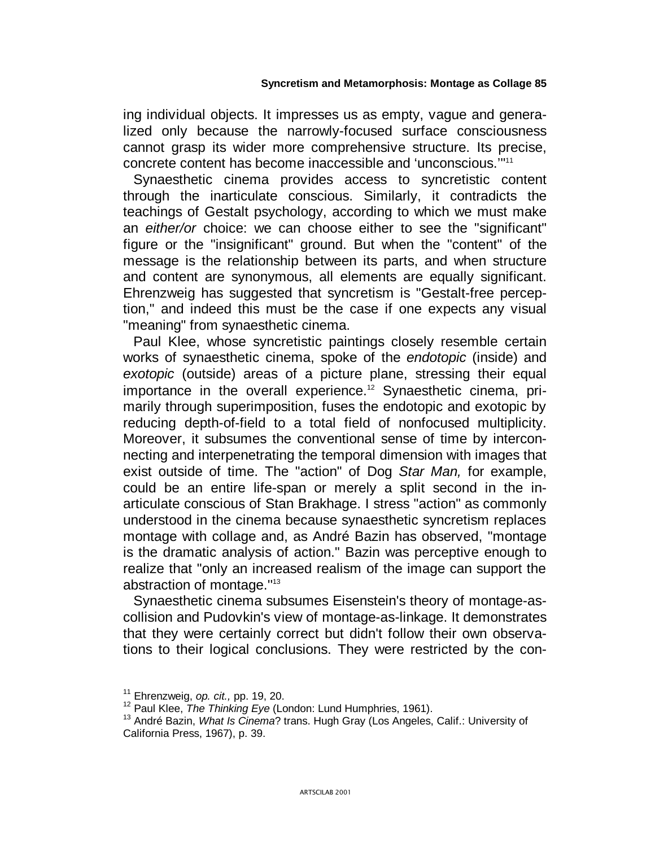ing individual objects. It impresses us as empty, vague and generalized only because the narrowly-focused surface consciousness cannot grasp its wider more comprehensive structure. Its precise, concrete content has become inaccessible and 'unconscious.''' 11

Synaesthetic cinema provides access to syncretistic content through the inarticulate conscious. Similarly, it contradicts the teachings of Gestalt psychology, according to which we must make an *either/or* choice: we can choose either to see the "significant" figure or the "insignificant" ground. But when the "content" of the message is the relationship between its parts, and when structure and content are synonymous, all elements are equally significant. Ehrenzweig has suggested that syncretism is "Gestalt-free perception," and indeed this must be the case if one expects any visual "meaning" from synaesthetic cinema.

Paul Klee, whose syncretistic paintings closely resemble certain works of synaesthetic cinema, spoke of the *endotopic* (inside) and *exotopic* (outside) areas of a picture plane, stressing their equal importance in the overall experience.<sup>12</sup> Synaesthetic cinema, primarily through superimposition, fuses the endotopic and exotopic by reducing depth-of-field to a total field of nonfocused multiplicity. Moreover, it subsumes the conventional sense of time by interconnecting and interpenetrating the temporal dimension with images that exist outside of time. The "action" of Dog *Star Man,* for example, could be an entire life-span or merely a split second in the inarticulate conscious of Stan Brakhage. I stress "action" as commonly understood in the cinema because synaesthetic syncretism replaces montage with collage and, as André Bazin has observed, "montage is the dramatic analysis of action." Bazin was perceptive enough to realize that "only an increased realism of the image can support the abstraction of montage.''<sup>13</sup>

Synaesthetic cinema subsumes Eisenstein's theory of montage-ascollision and Pudovkin's view of montage-as-linkage. It demonstrates that they were certainly correct but didn't follow their own observations to their logical conclusions. They were restricted by the con-

<sup>11</sup> Ehrenzweig, *op. cit.,* pp. 19, 20.

<sup>12</sup> Paul Klee, *The Thinking Eye* (London: Lund Humphries, 1961).

<sup>13</sup> André Bazin, *What Is Cinema*? trans. Hugh Gray (Los Angeles, Calif.: University of California Press, 1967), p. 39.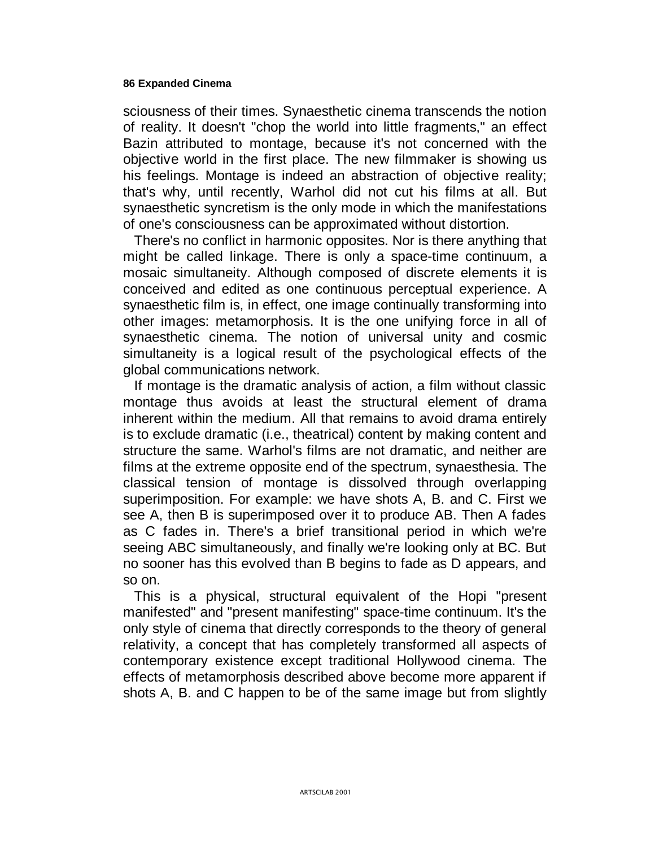sciousness of their times. Synaesthetic cinema transcends the notion of reality. It doesn't "chop the world into little fragments," an effect Bazin attributed to montage, because it's not concerned with the objective world in the first place. The new filmmaker is showing us his feelings. Montage is indeed an abstraction of objective reality; that's why, until recently, Warhol did not cut his films at all. But synaesthetic syncretism is the only mode in which the manifestations of one's consciousness can be approximated without distortion.

There's no conflict in harmonic opposites. Nor is there anything that might be called linkage. There is only a space-time continuum, a mosaic simultaneity. Although composed of discrete elements it is conceived and edited as one continuous perceptual experience. A synaesthetic film is, in effect, one image continually transforming into other images: metamorphosis. It is the one unifying force in all of synaesthetic cinema. The notion of universal unity and cosmic simultaneity is a logical result of the psychological effects of the global communications network.

If montage is the dramatic analysis of action, a film without classic montage thus avoids at least the structural element of drama inherent within the medium. All that remains to avoid drama entirely is to exclude dramatic (i.e., theatrical) content by making content and structure the same. Warhol's films are not dramatic, and neither are films at the extreme opposite end of the spectrum, synaesthesia. The classical tension of montage is dissolved through overlapping superimposition. For example: we have shots A, B. and C. First we see A, then B is superimposed over it to produce AB. Then A fades as C fades in. There's a brief transitional period in which we're seeing ABC simultaneously, and finally we're looking only at BC. But no sooner has this evolved than B begins to fade as D appears, and so on.

This is a physical, structural equivalent of the Hopi "present manifested" and "present manifesting" space-time continuum. It's the only style of cinema that directly corresponds to the theory of general relativity, a concept that has completely transformed all aspects of contemporary existence except traditional Hollywood cinema. The effects of metamorphosis described above become more apparent if shots A, B. and C happen to be of the same image but from slightly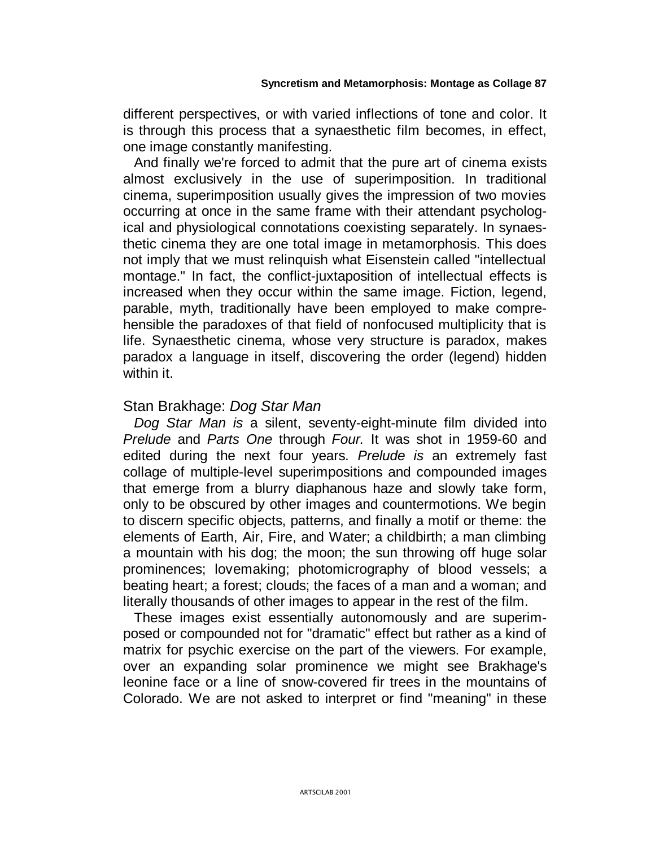different perspectives, or with varied inflections of tone and color. It is through this process that a synaesthetic film becomes, in effect, one image constantly manifesting.

And finally we're forced to admit that the pure art of cinema exists almost exclusively in the use of superimposition. In traditional cinema, superimposition usually gives the impression of two movies occurring at once in the same frame with their attendant psychological and physiological connotations coexisting separately. In synaesthetic cinema they are one total image in metamorphosis. This does not imply that we must relinquish what Eisenstein called "intellectual montage." In fact, the conflict-juxtaposition of intellectual effects is increased when they occur within the same image. Fiction, legend, parable, myth, traditionally have been employed to make comprehensible the paradoxes of that field of nonfocused multiplicity that is life. Synaesthetic cinema, whose very structure is paradox, makes paradox a language in itself, discovering the order (legend) hidden within it.

## Stan Brakhage: *Dog Star Man*

*Dog Star Man is* a silent, seventy-eight-minute film divided into *Prelude* and *Parts One* through *Four.* It was shot in 1959-60 and edited during the next four years. *Prelude is* an extremely fast collage of multiple-level superimpositions and compounded images that emerge from a blurry diaphanous haze and slowly take form, only to be obscured by other images and countermotions. We begin to discern specific objects, patterns, and finally a motif or theme: the elements of Earth, Air, Fire, and Water; a childbirth; a man climbing a mountain with his dog; the moon; the sun throwing off huge solar prominences; lovemaking; photomicrography of blood vessels; a beating heart; a forest; clouds; the faces of a man and a woman; and literally thousands of other images to appear in the rest of the film.

These images exist essentially autonomously and are superimposed or compounded not for "dramatic" effect but rather as a kind of matrix for psychic exercise on the part of the viewers. For example, over an expanding solar prominence we might see Brakhage's leonine face or a line of snow-covered fir trees in the mountains of Colorado. We are not asked to interpret or find "meaning" in these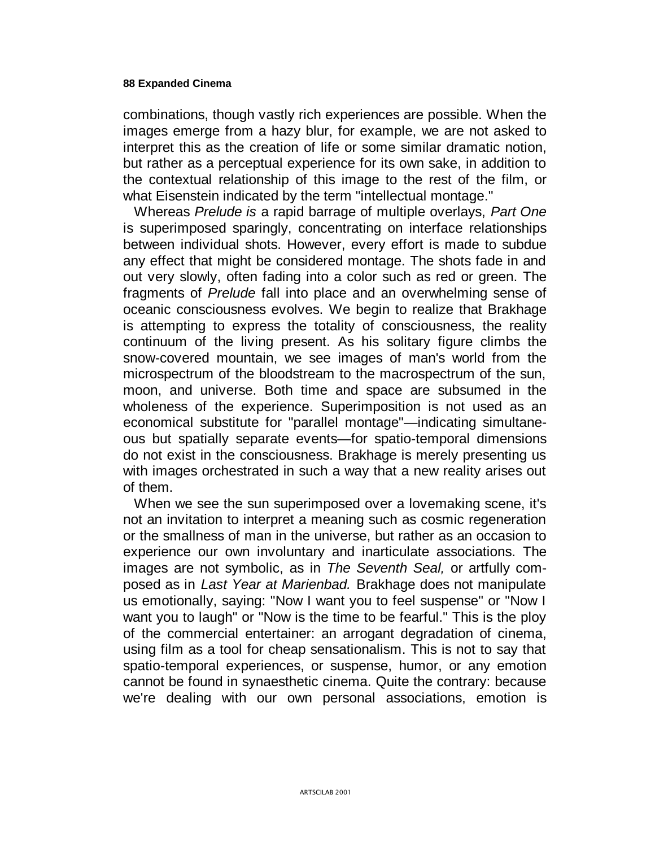combinations, though vastly rich experiences are possible. When the images emerge from a hazy blur, for example, we are not asked to interpret this as the creation of life or some similar dramatic notion, but rather as a perceptual experience for its own sake, in addition to the contextual relationship of this image to the rest of the film, or what Eisenstein indicated by the term "intellectual montage."

Whereas *Prelude is* a rapid barrage of multiple overlays, *Part One*  is superimposed sparingly, concentrating on interface relationships between individual shots. However, every effort is made to subdue any effect that might be considered montage. The shots fade in and out very slowly, often fading into a color such as red or green. The fragments of *Prelude* fall into place and an overwhelming sense of oceanic consciousness evolves. We begin to realize that Brakhage is attempting to express the totality of consciousness, the reality continuum of the living present. As his solitary figure climbs the snow-covered mountain, we see images of man's world from the microspectrum of the bloodstream to the macrospectrum of the sun, moon, and universe. Both time and space are subsumed in the wholeness of the experience. Superimposition is not used as an economical substitute for "parallel montage"— indicating simultaneous but spatially separate events— for spatio-temporal dimensions do not exist in the consciousness. Brakhage is merely presenting us with images orchestrated in such a way that a new reality arises out of them.

When we see the sun superimposed over a lovemaking scene, it's not an invitation to interpret a meaning such as cosmic regeneration or the smallness of man in the universe, but rather as an occasion to experience our own involuntary and inarticulate associations. The images are not symbolic, as in *The Seventh Seal,* or artfully composed as in *Last Year at Marienbad.* Brakhage does not manipulate us emotionally, saying: "Now I want you to feel suspense" or "Now I want you to laugh" or "Now is the time to be fearful." This is the ploy of the commercial entertainer: an arrogant degradation of cinema, using film as a tool for cheap sensationalism. This is not to say that spatio-temporal experiences, or suspense, humor, or any emotion cannot be found in synaesthetic cinema. Quite the contrary: because we're dealing with our own personal associations, emotion is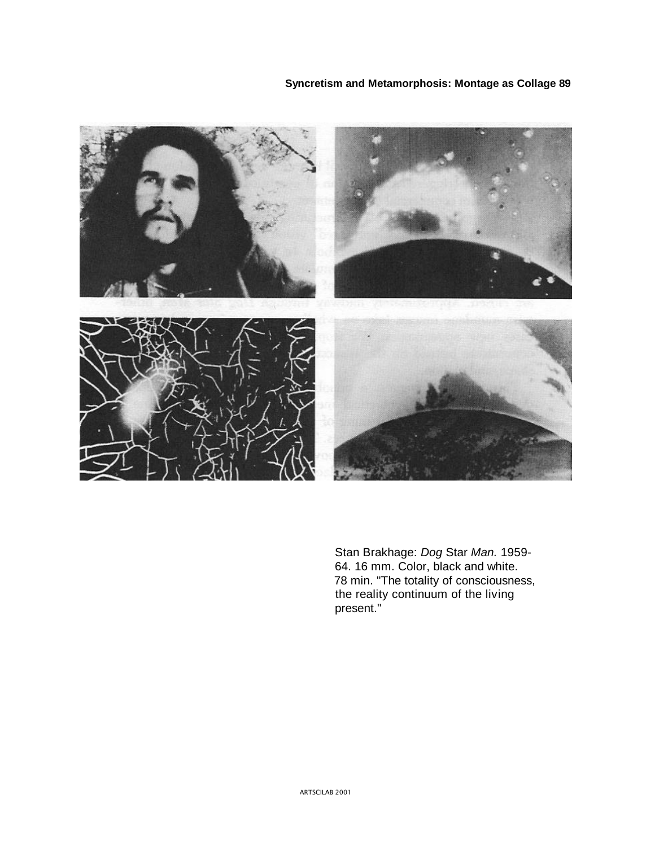

Stan Brakhage: *Dog* Star *Man.* 1959- 64. 16 mm. Color, black and white. 78 min. "The totality of consciousness, the reality continuum of the living present."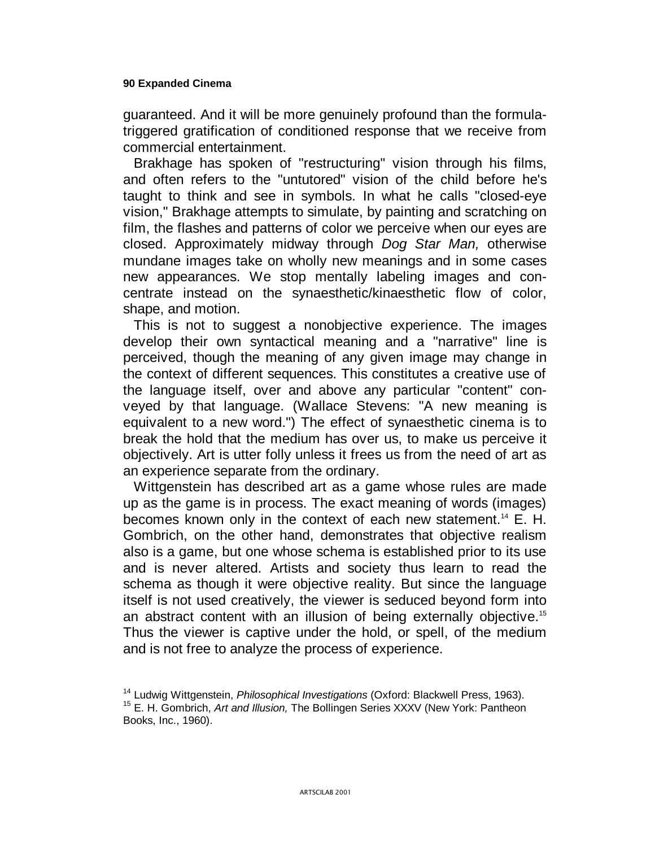guaranteed. And it will be more genuinely profound than the formulatriggered gratification of conditioned response that we receive from commercial entertainment.

Brakhage has spoken of "restructuring" vision through his films, and often refers to the "untutored" vision of the child before he's taught to think and see in symbols. In what he calls "closed-eye vision," Brakhage attempts to simulate, by painting and scratching on film, the flashes and patterns of color we perceive when our eyes are closed. Approximately midway through *Dog Star Man,* otherwise mundane images take on wholly new meanings and in some cases new appearances. We stop mentally labeling images and concentrate instead on the synaesthetic/kinaesthetic flow of color, shape, and motion.

This is not to suggest a nonobjective experience. The images develop their own syntactical meaning and a "narrative" line is perceived, though the meaning of any given image may change in the context of different sequences. This constitutes a creative use of the language itself, over and above any particular "content" conveyed by that language. (Wallace Stevens: "A new meaning is equivalent to a new word.") The effect of synaesthetic cinema is to break the hold that the medium has over us, to make us perceive it objectively. Art is utter folly unless it frees us from the need of art as an experience separate from the ordinary.

Wittgenstein has described art as a game whose rules are made up as the game is in process. The exact meaning of words (images) becomes known only in the context of each new statement.<sup>14</sup> E. H. Gombrich, on the other hand, demonstrates that objective realism also is a game, but one whose schema is established prior to its use and is never altered. Artists and society thus learn to read the schema as though it were objective reality. But since the language itself is not used creatively, the viewer is seduced beyond form into an abstract content with an illusion of being externally objective.<sup>15</sup> Thus the viewer is captive under the hold, or spell, of the medium and is not free to analyze the process of experience.

<sup>14</sup> Ludwig Wittgenstein, *Philosophical Investigations* (Oxford: Blackwell Press, 1963).

<sup>15</sup> E. H. Gombrich, *Art and Illusion,* The Bollingen Series XXXV (New York: Pantheon Books, Inc., 1960).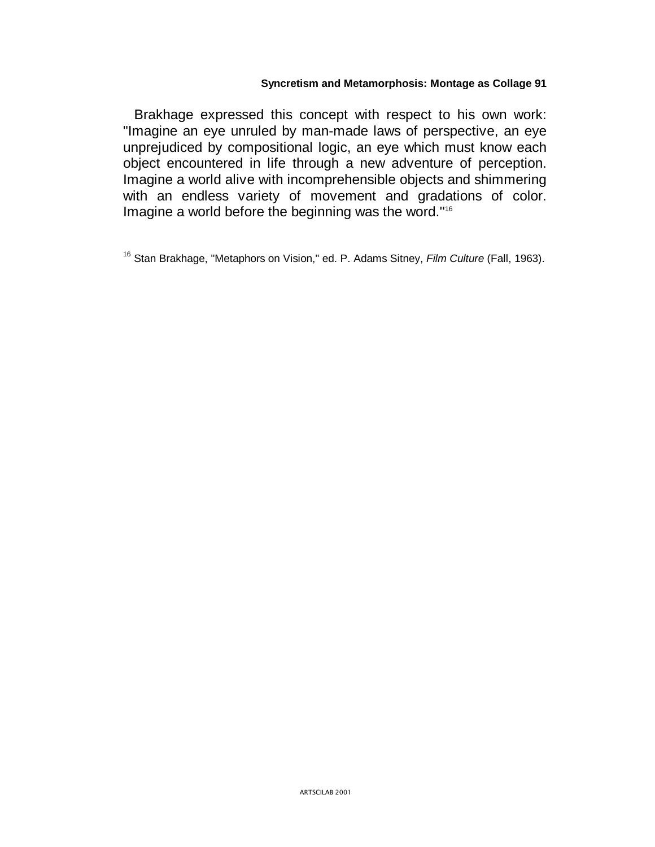### **Syncretism and Metamorphosis: Montage as Collage 91**

Brakhage expressed this concept with respect to his own work: "Imagine an eye unruled by man-made laws of perspective, an eye unprejudiced by compositional logic, an eye which must know each object encountered in life through a new adventure of perception. Imagine a world alive with incomprehensible objects and shimmering with an endless variety of movement and gradations of color. Imagine a world before the beginning was the word.''<sup>16</sup>

<sup>16</sup> Stan Brakhage, "Metaphors on Vision," ed. P. Adams Sitney, *Film Culture* (Fall, 1963).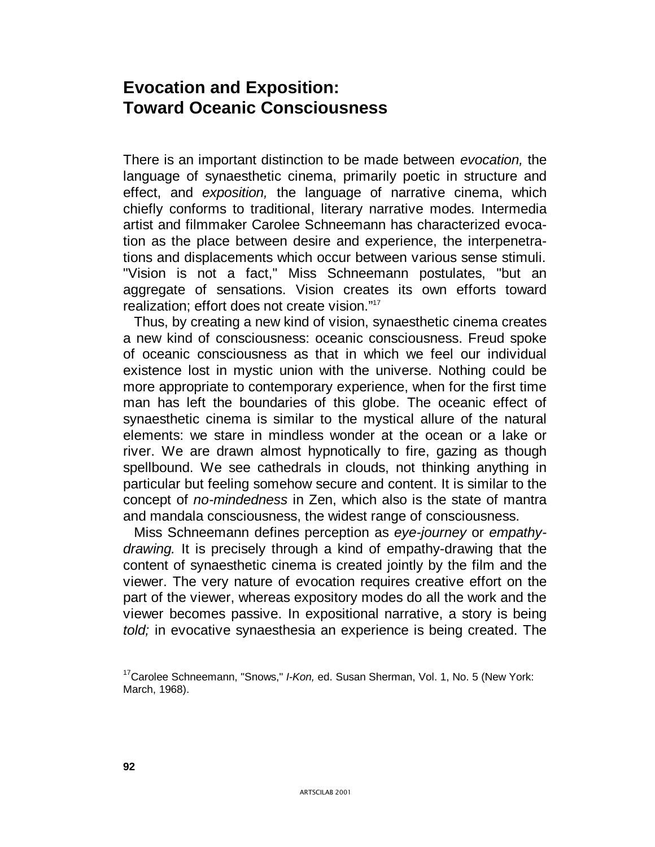# **Evocation and Exposition: Toward Oceanic Consciousness**

There is an important distinction to be made between *evocation,* the language of synaesthetic cinema, primarily poetic in structure and effect, and *exposition,* the language of narrative cinema, which chiefly conforms to traditional, literary narrative modes. Intermedia artist and filmmaker Carolee Schneemann has characterized evocation as the place between desire and experience, the interpenetrations and displacements which occur between various sense stimuli. "Vision is not a fact," Miss Schneemann postulates, "but an aggregate of sensations. Vision creates its own efforts toward realization; effort does not create vision." 17

Thus, by creating a new kind of vision, synaesthetic cinema creates a new kind of consciousness: oceanic consciousness. Freud spoke of oceanic consciousness as that in which we feel our individual existence lost in mystic union with the universe. Nothing could be more appropriate to contemporary experience, when for the first time man has left the boundaries of this globe. The oceanic effect of synaesthetic cinema is similar to the mystical allure of the natural elements: we stare in mindless wonder at the ocean or a lake or river. We are drawn almost hypnotically to fire, gazing as though spellbound. We see cathedrals in clouds, not thinking anything in particular but feeling somehow secure and content. It is similar to the concept of *no-mindedness* in Zen, which also is the state of mantra and mandala consciousness, the widest range of consciousness.

Miss Schneemann defines perception as *eye-journey* or *empathydrawing.* It is precisely through a kind of empathy-drawing that the content of synaesthetic cinema is created jointly by the film and the viewer. The very nature of evocation requires creative effort on the part of the viewer, whereas expository modes do all the work and the viewer becomes passive. In expositional narrative, a story is being *told;* in evocative synaesthesia an experience is being created. The

<sup>&</sup>lt;sup>17</sup>Carolee Schneemann, "Snows," *I-Kon,* ed. Susan Sherman, Vol. 1, No. 5 (New York: March, 1968).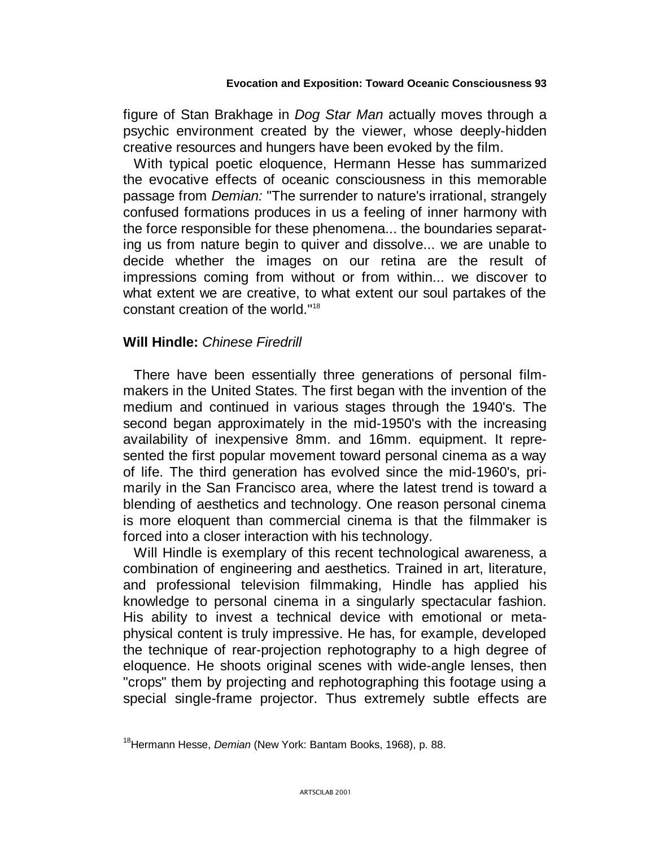figure of Stan Brakhage in *Dog Star Man* actually moves through a psychic environment created by the viewer, whose deeply-hidden creative resources and hungers have been evoked by the film.

With typical poetic eloquence, Hermann Hesse has summarized the evocative effects of oceanic consciousness in this memorable passage from *Demian:* "The surrender to nature's irrational, strangely confused formations produces in us a feeling of inner harmony with the force responsible for these phenomena... the boundaries separating us from nature begin to quiver and dissolve... we are unable to decide whether the images on our retina are the result of impressions coming from without or from within... we discover to what extent we are creative, to what extent our soul partakes of the constant creation of the world.''<sup>18</sup>

### **Will Hindle:** *Chinese Firedrill*

There have been essentially three generations of personal filmmakers in the United States. The first began with the invention of the medium and continued in various stages through the 1940's. The second began approximately in the mid-1950's with the increasing availability of inexpensive 8mm. and 16mm. equipment. It represented the first popular movement toward personal cinema as a way of life. The third generation has evolved since the mid-1960's, primarily in the San Francisco area, where the latest trend is toward a blending of aesthetics and technology. One reason personal cinema is more eloquent than commercial cinema is that the filmmaker is forced into a closer interaction with his technology.

Will Hindle is exemplary of this recent technological awareness, a combination of engineering and aesthetics. Trained in art, literature, and professional television filmmaking, Hindle has applied his knowledge to personal cinema in a singularly spectacular fashion. His ability to invest a technical device with emotional or metaphysical content is truly impressive. He has, for example, developed the technique of rear-projection rephotography to a high degree of eloquence. He shoots original scenes with wide-angle lenses, then "crops" them by projecting and rephotographing this footage using a special single-frame projector. Thus extremely subtle effects are

<sup>18</sup>Hermann Hesse, *Demian* (New York: Bantam Books, 1968), p. 88.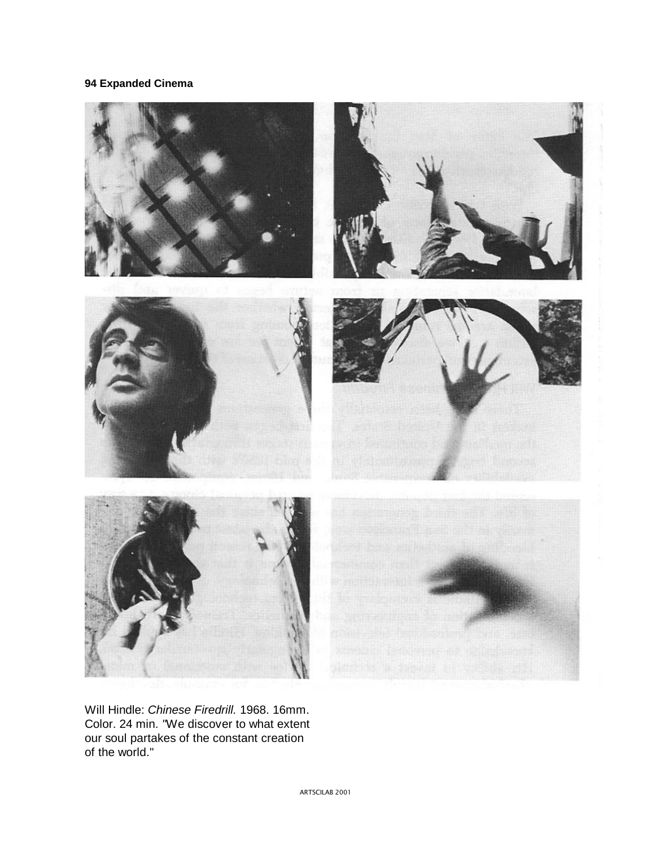

Will Hindle: *Chinese Firedrill.* 1968. 16mm. Color. 24 min. *"*We discover to what extent our soul partakes of the constant creation of the world."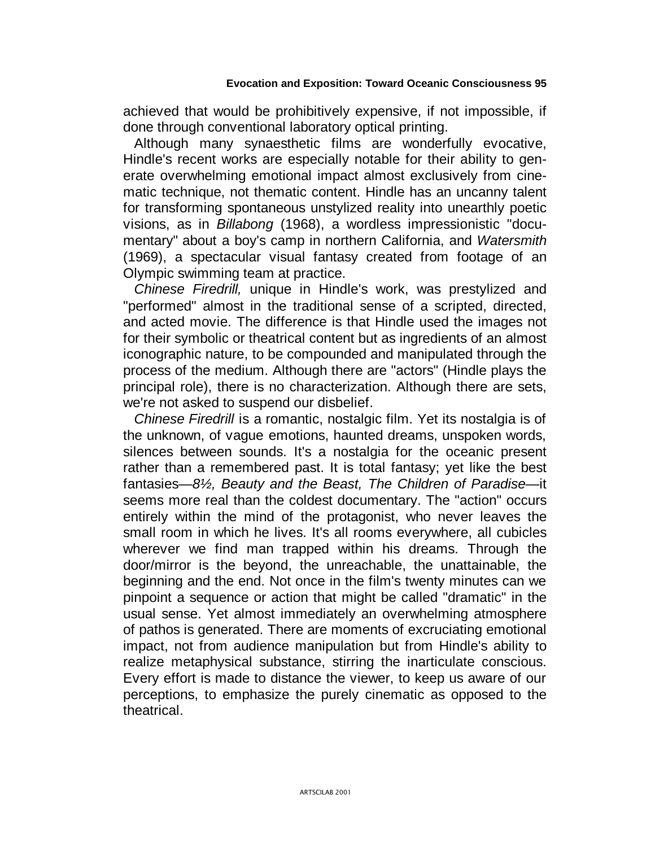achieved that would be prohibitively expensive, if not impossible, if done through conventional laboratory optical printing.

Although many synaesthetic films are wonderfully evocative, Hindle's recent works are especially notable for their ability to generate overwhelming emotional impact almost exclusively from cinematic technique, not thematic content. Hindle has an uncanny talent for transforming spontaneous unstylized reality into unearthly poetic visions, as in *Billabong* (1968), a wordless impressionistic "documentary" about a boy's camp in northern California, and *Watersmith*  (1969), a spectacular visual fantasy created from footage of an Olympic swimming team at practice.

*Chinese Firedrill,* unique in Hindle's work, was prestylized and "performed" almost in the traditional sense of a scripted, directed, and acted movie. The difference is that Hindle used the images not for their symbolic or theatrical content but as ingredients of an almost iconographic nature, to be compounded and manipulated through the process of the medium. Although there are "actors" (Hindle plays the principal role), there is no characterization. Although there are sets, we're not asked to suspend our disbelief.

*Chinese Firedrill* is a romantic, nostalgic film. Yet its nostalgia is of the unknown, of vague emotions, haunted dreams, unspoken words, silences between sounds. It's a nostalgia for the oceanic present rather than a remembered past. It is total fantasy; yet like the best fantasies— *8½, Beauty and the Beast, The Children of Paradise—* it seems more real than the coldest documentary. The "action" occurs entirely within the mind of the protagonist, who never leaves the small room in which he lives. It's all rooms everywhere, all cubicles wherever we find man trapped within his dreams. Through the door/mirror is the beyond, the unreachable, the unattainable, the beginning and the end. Not once in the film's twenty minutes can we pinpoint a sequence or action that might be called "dramatic" in the usual sense. Yet almost immediately an overwhelming atmosphere of pathos is generated. There are moments of excruciating emotional impact, not from audience manipulation but from Hindle's ability to realize metaphysical substance, stirring the inarticulate conscious. Every effort is made to distance the viewer, to keep us aware of our perceptions, to emphasize the purely cinematic as opposed to the theatrical.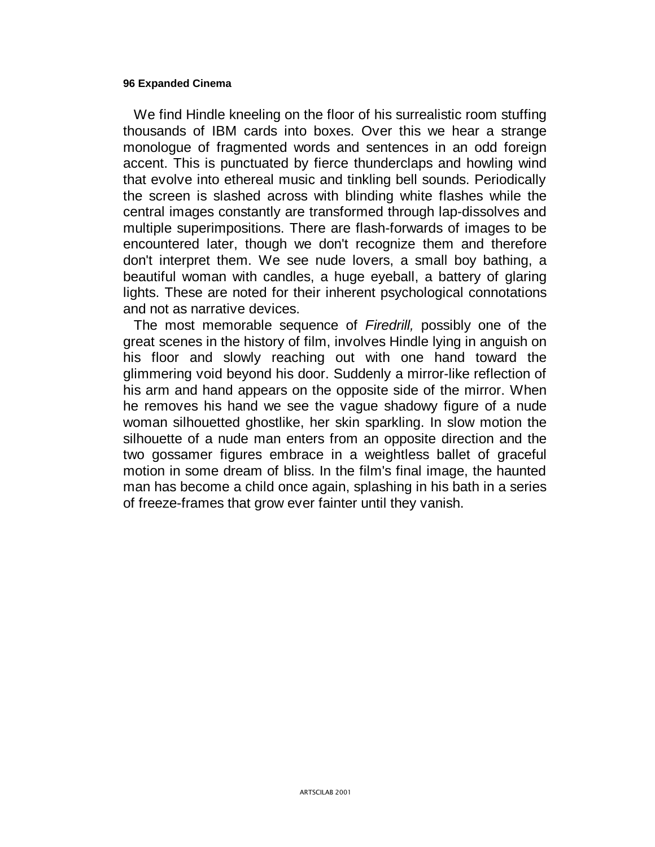We find Hindle kneeling on the floor of his surrealistic room stuffing thousands of IBM cards into boxes. Over this we hear a strange monologue of fragmented words and sentences in an odd foreign accent. This is punctuated by fierce thunderclaps and howling wind that evolve into ethereal music and tinkling bell sounds. Periodically the screen is slashed across with blinding white flashes while the central images constantly are transformed through lap-dissolves and multiple superimpositions. There are flash-forwards of images to be encountered later, though we don't recognize them and therefore don't interpret them. We see nude lovers, a small boy bathing, a beautiful woman with candles, a huge eyeball, a battery of glaring lights. These are noted for their inherent psychological connotations and not as narrative devices.

The most memorable sequence of *Firedrill,* possibly one of the great scenes in the history of film, involves Hindle lying in anguish on his floor and slowly reaching out with one hand toward the glimmering void beyond his door. Suddenly a mirror-like reflection of his arm and hand appears on the opposite side of the mirror. When he removes his hand we see the vague shadowy figure of a nude woman silhouetted ghostlike, her skin sparkling. In slow motion the silhouette of a nude man enters from an opposite direction and the two gossamer figures embrace in a weightless ballet of graceful motion in some dream of bliss. In the film's final image, the haunted man has become a child once again, splashing in his bath in a series of freeze-frames that grow ever fainter until they vanish.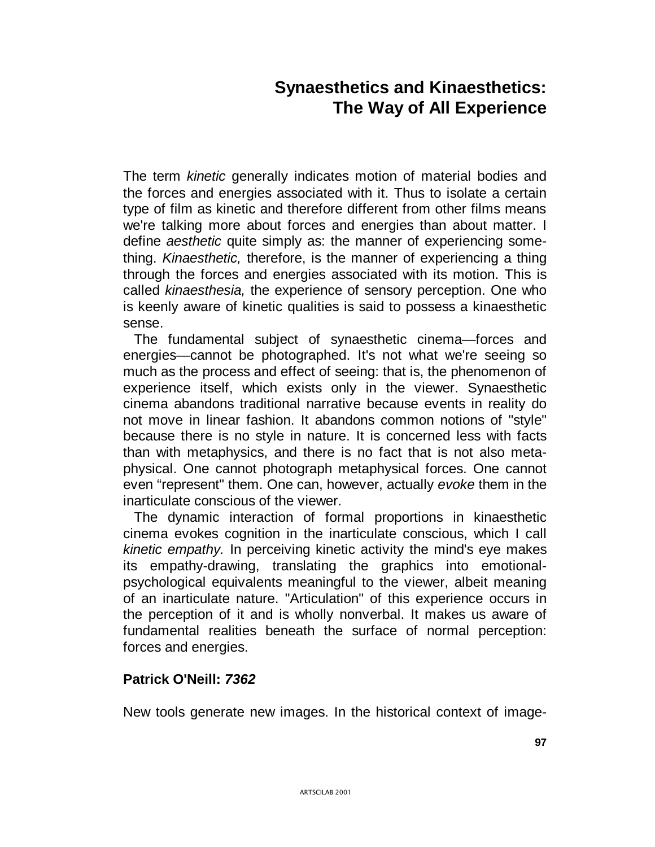# **Synaesthetics and Kinaesthetics: The Way of All Experience**

The term *kinetic* generally indicates motion of material bodies and the forces and energies associated with it. Thus to isolate a certain type of film as kinetic and therefore different from other films means we're talking more about forces and energies than about matter. I define *aesthetic* quite simply as: the manner of experiencing something. *Kinaesthetic,* therefore, is the manner of experiencing a thing through the forces and energies associated with its motion. This is called *kinaesthesia,* the experience of sensory perception. One who is keenly aware of kinetic qualities is said to possess a kinaesthetic sense.

The fundamental subject of synaesthetic cinema— forces and energies— cannot be photographed. It's not what we're seeing so much as the process and effect of seeing: that is, the phenomenon of experience itself, which exists only in the viewer. Synaesthetic cinema abandons traditional narrative because events in reality do not move in linear fashion. It abandons common notions of "style" because there is no style in nature. It is concerned less with facts than with metaphysics, and there is no fact that is not also metaphysical. One cannot photograph metaphysical forces. One cannot even "represent" them. One can, however, actually *evoke* them in the inarticulate conscious of the viewer.

The dynamic interaction of formal proportions in kinaesthetic cinema evokes cognition in the inarticulate conscious, which I call *kinetic empathy.* In perceiving kinetic activity the mind's eye makes its empathy-drawing, translating the graphics into emotionalpsychological equivalents meaningful to the viewer, albeit meaning of an inarticulate nature. "Articulation" of this experience occurs in the perception of it and is wholly nonverbal. It makes us aware of fundamental realities beneath the surface of normal perception: forces and energies.

## **Patrick O'Neill:** *7362*

New tools generate new images. In the historical context of image-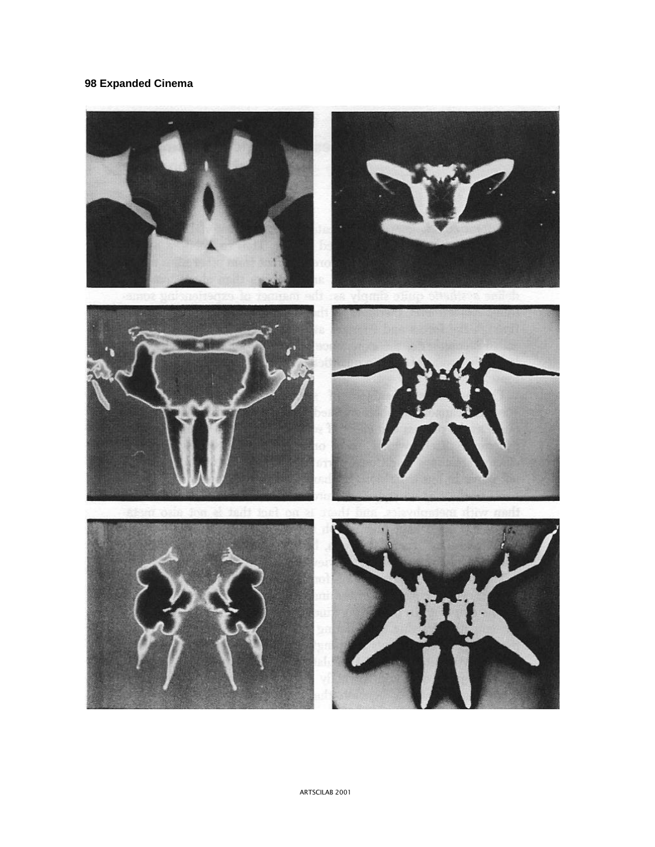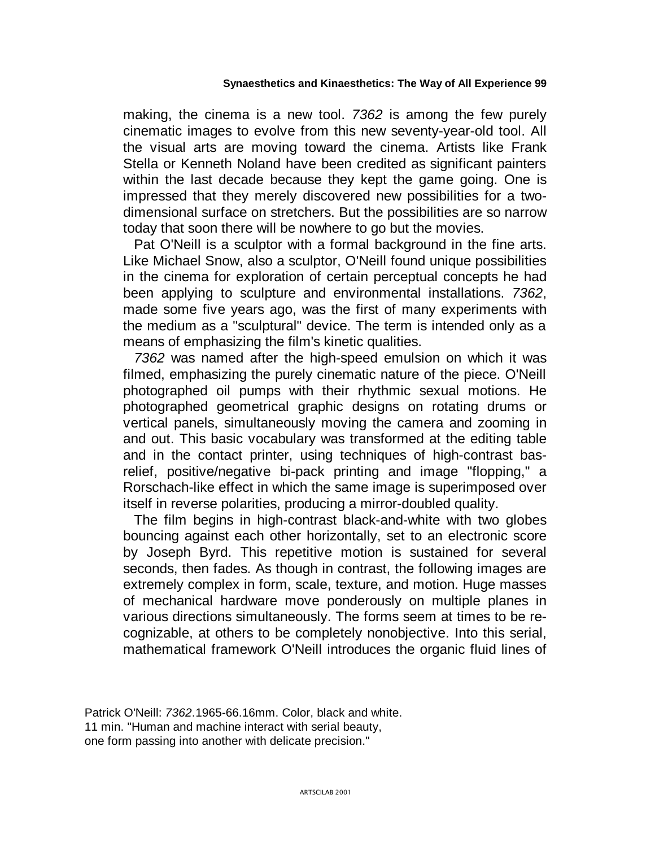#### **Synaesthetics and Kinaesthetics: The Way of All Experience 99**

making, the cinema is a new tool. *7362* is among the few purely cinematic images to evolve from this new seventy-year-old tool. All the visual arts are moving toward the cinema. Artists like Frank Stella or Kenneth Noland have been credited as significant painters within the last decade because they kept the game going. One is impressed that they merely discovered new possibilities for a twodimensional surface on stretchers. But the possibilities are so narrow today that soon there will be nowhere to go but the movies.

Pat O'Neill is a sculptor with a formal background in the fine arts. Like Michael Snow, also a sculptor, O'Neill found unique possibilities in the cinema for exploration of certain perceptual concepts he had been applying to sculpture and environmental installations. *7362*, made some five years ago, was the first of many experiments with the medium as a "sculptural" device. The term is intended only as a means of emphasizing the film's kinetic qualities.

*7362* was named after the high-speed emulsion on which it was filmed, emphasizing the purely cinematic nature of the piece. O'Neill photographed oil pumps with their rhythmic sexual motions. He photographed geometrical graphic designs on rotating drums or vertical panels, simultaneously moving the camera and zooming in and out. This basic vocabulary was transformed at the editing table and in the contact printer, using techniques of high-contrast basrelief, positive/negative bi-pack printing and image "flopping," a Rorschach-like effect in which the same image is superimposed over itself in reverse polarities, producing a mirror-doubled quality.

The film begins in high-contrast black-and-white with two globes bouncing against each other horizontally, set to an electronic score by Joseph Byrd. This repetitive motion is sustained for several seconds, then fades. As though in contrast, the following images are extremely complex in form, scale, texture, and motion. Huge masses of mechanical hardware move ponderously on multiple planes in various directions simultaneously. The forms seem at times to be recognizable, at others to be completely nonobjective. Into this serial, mathematical framework O'Neill introduces the organic fluid lines of

Patrick O'Neill: *7362*.1965-66.16mm. Color, black and white. 11 min. "Human and machine interact with serial beauty, one form passing into another with delicate precision."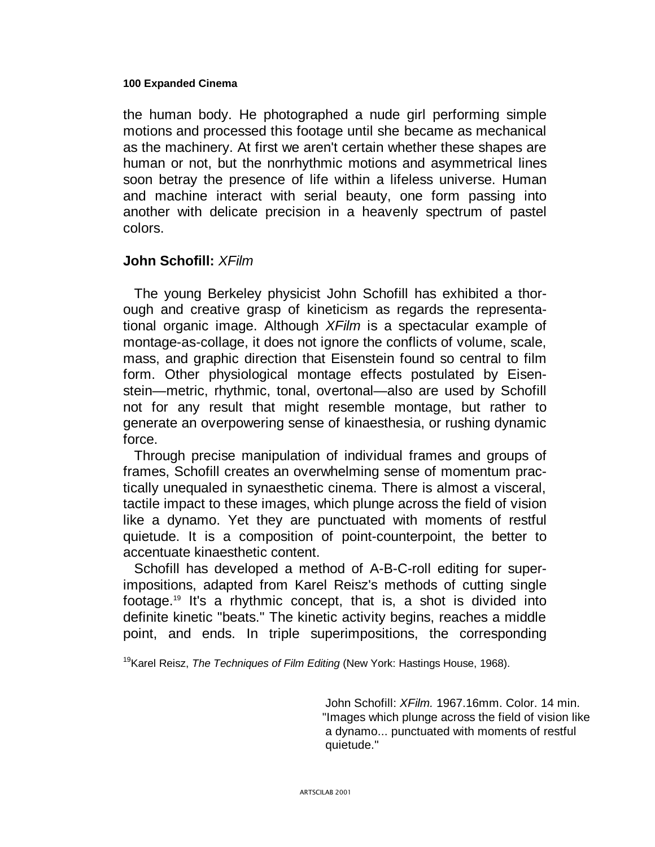the human body. He photographed a nude girl performing simple motions and processed this footage until she became as mechanical as the machinery. At first we aren't certain whether these shapes are human or not, but the nonrhythmic motions and asymmetrical lines soon betray the presence of life within a lifeless universe. Human and machine interact with serial beauty, one form passing into another with delicate precision in a heavenly spectrum of pastel colors.

### **John Schofill:** *XFilm*

The young Berkeley physicist John Schofill has exhibited a thorough and creative grasp of kineticism as regards the representational organic image. Although *XFilm* is a spectacular example of montage-as-collage, it does not ignore the conflicts of volume, scale, mass, and graphic direction that Eisenstein found so central to film form. Other physiological montage effects postulated by Eisenstein— metric, rhythmic, tonal, overtonal— also are used by Schofill not for any result that might resemble montage, but rather to generate an overpowering sense of kinaesthesia, or rushing dynamic force.

Through precise manipulation of individual frames and groups of frames, Schofill creates an overwhelming sense of momentum practically unequaled in synaesthetic cinema. There is almost a visceral, tactile impact to these images, which plunge across the field of vision like a dynamo. Yet they are punctuated with moments of restful quietude. It is a composition of point-counterpoint, the better to accentuate kinaesthetic content.

Schofill has developed a method of A-B-C-roll editing for superimpositions, adapted from Karel Reisz's methods of cutting single footage.19 It's a rhythmic concept, that is, a shot is divided into definite kinetic "beats." The kinetic activity begins, reaches a middle point, and ends. In triple superimpositions, the corresponding

19Karel Reisz, *The Techniques of Film Editing* (New York: Hastings House, 1968).

John Schofill: *XFilm.* 1967.16mm. Color. 14 min. "Images which plunge across the field of vision like a dynamo... punctuated with moments of restful quietude."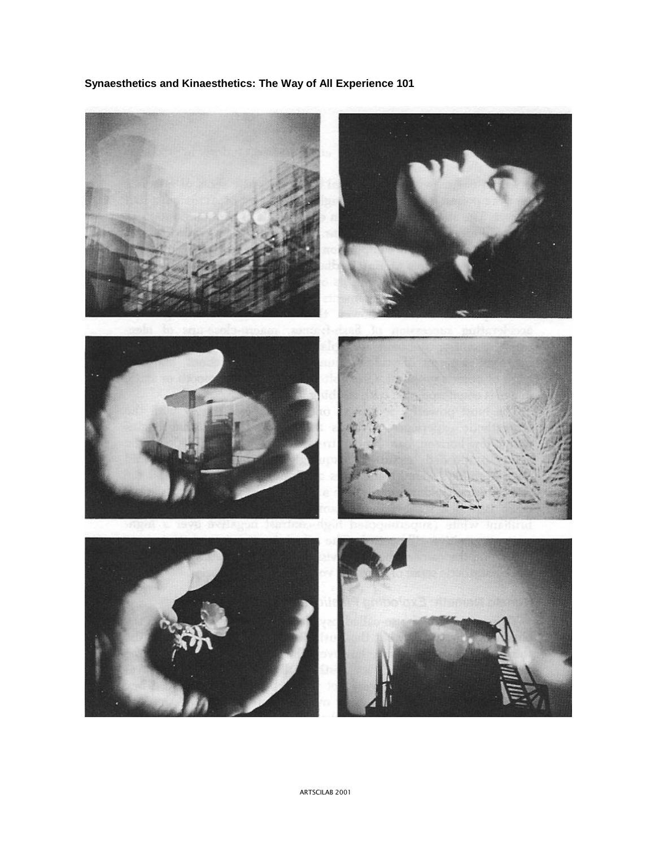## **Synaesthetics and Kinaesthetics: The Way of All Experience 101**

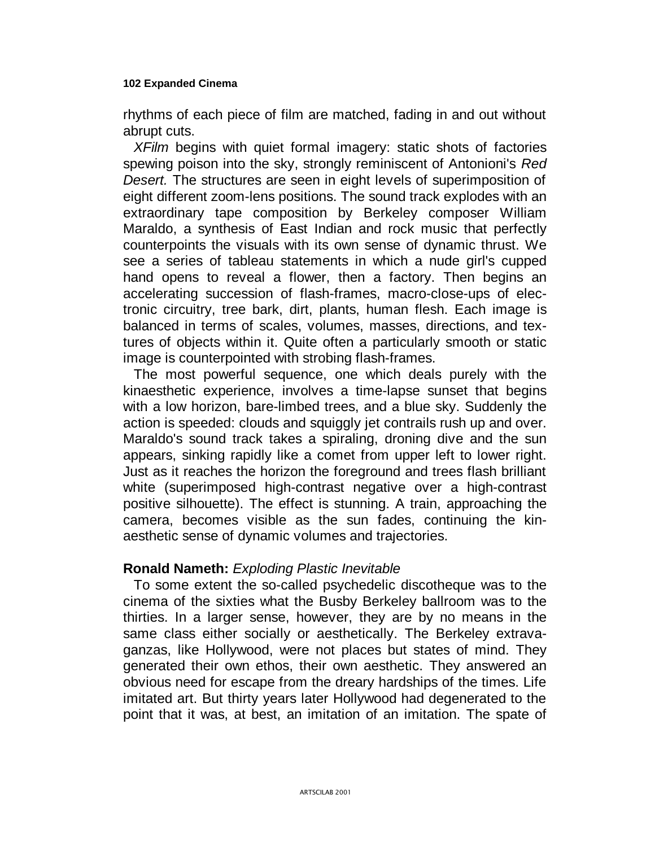rhythms of each piece of film are matched, fading in and out without abrupt cuts.

*XFilm* begins with quiet formal imagery: static shots of factories spewing poison into the sky, strongly reminiscent of Antonioni's *Red Desert.* The structures are seen in eight levels of superimposition of eight different zoom-lens positions. The sound track explodes with an extraordinary tape composition by Berkeley composer William Maraldo, a synthesis of East Indian and rock music that perfectly counterpoints the visuals with its own sense of dynamic thrust. We see a series of tableau statements in which a nude girl's cupped hand opens to reveal a flower, then a factory. Then begins an accelerating succession of flash-frames, macro-close-ups of electronic circuitry, tree bark, dirt, plants, human flesh. Each image is balanced in terms of scales, volumes, masses, directions, and textures of objects within it. Quite often a particularly smooth or static image is counterpointed with strobing flash-frames.

The most powerful sequence, one which deals purely with the kinaesthetic experience, involves a time-lapse sunset that begins with a low horizon, bare-limbed trees, and a blue sky. Suddenly the action is speeded: clouds and squiggly jet contrails rush up and over. Maraldo's sound track takes a spiraling, droning dive and the sun appears, sinking rapidly like a comet from upper left to lower right. Just as it reaches the horizon the foreground and trees flash brilliant white (superimposed high-contrast negative over a high-contrast positive silhouette). The effect is stunning. A train, approaching the camera, becomes visible as the sun fades, continuing the kinaesthetic sense of dynamic volumes and trajectories.

## **Ronald Nameth:** *Exploding Plastic Inevitable*

To some extent the so-called psychedelic discotheque was to the cinema of the sixties what the Busby Berkeley ballroom was to the thirties. In a larger sense, however, they are by no means in the same class either socially or aesthetically. The Berkeley extravaganzas, like Hollywood, were not places but states of mind. They generated their own ethos, their own aesthetic. They answered an obvious need for escape from the dreary hardships of the times. Life imitated art. But thirty years later Hollywood had degenerated to the point that it was, at best, an imitation of an imitation. The spate of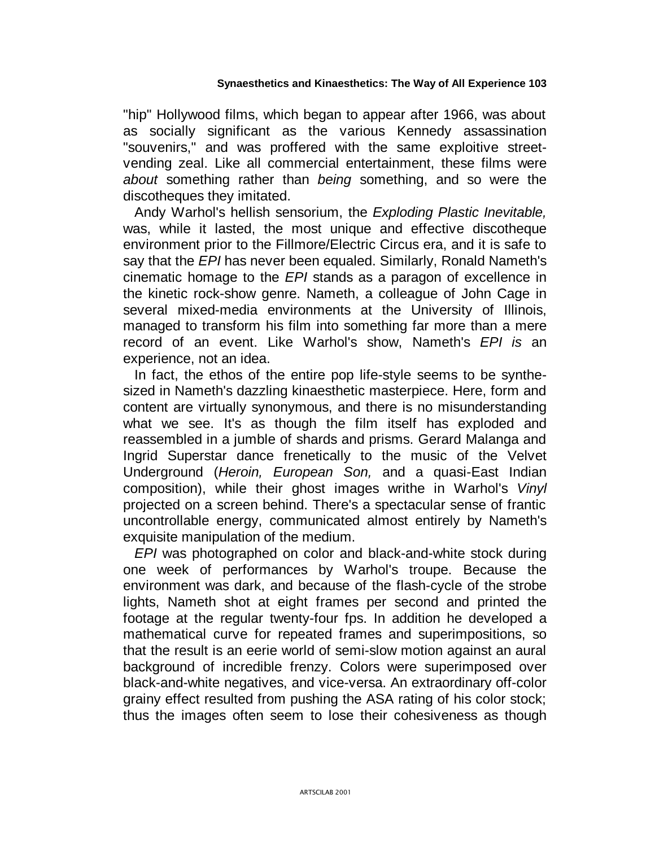"hip" Hollywood films, which began to appear after 1966, was about as socially significant as the various Kennedy assassination "souvenirs," and was proffered with the same exploitive streetvending zeal. Like all commercial entertainment, these films were *about* something rather than *being* something, and so were the discotheques they imitated.

Andy Warhol's hellish sensorium, the *Exploding Plastic Inevitable,* was, while it lasted, the most unique and effective discotheque environment prior to the Fillmore/Electric Circus era, and it is safe to say that the *EPI* has never been equaled. Similarly, Ronald Nameth's cinematic homage to the *EPI* stands as a paragon of excellence in the kinetic rock-show genre. Nameth, a colleague of John Cage in several mixed-media environments at the University of Illinois, managed to transform his film into something far more than a mere record of an event. Like Warhol's show, Nameth's *EPI is* an experience, not an idea.

In fact, the ethos of the entire pop life-style seems to be synthesized in Nameth's dazzling kinaesthetic masterpiece. Here, form and content are virtually synonymous, and there is no misunderstanding what we see. It's as though the film itself has exploded and reassembled in a jumble of shards and prisms. Gerard Malanga and Ingrid Superstar dance frenetically to the music of the Velvet Underground (*Heroin, European Son,* and a quasi-East Indian composition), while their ghost images writhe in Warhol's *Vinyl*  projected on a screen behind. There's a spectacular sense of frantic uncontrollable energy, communicated almost entirely by Nameth's exquisite manipulation of the medium.

*EPI* was photographed on color and black-and-white stock during one week of performances by Warhol's troupe. Because the environment was dark, and because of the flash-cycle of the strobe lights, Nameth shot at eight frames per second and printed the footage at the regular twenty-four fps. In addition he developed a mathematical curve for repeated frames and superimpositions, so that the result is an eerie world of semi-slow motion against an aural background of incredible frenzy. Colors were superimposed over black-and-white negatives, and vice-versa. An extraordinary off-color grainy effect resulted from pushing the ASA rating of his color stock; thus the images often seem to lose their cohesiveness as though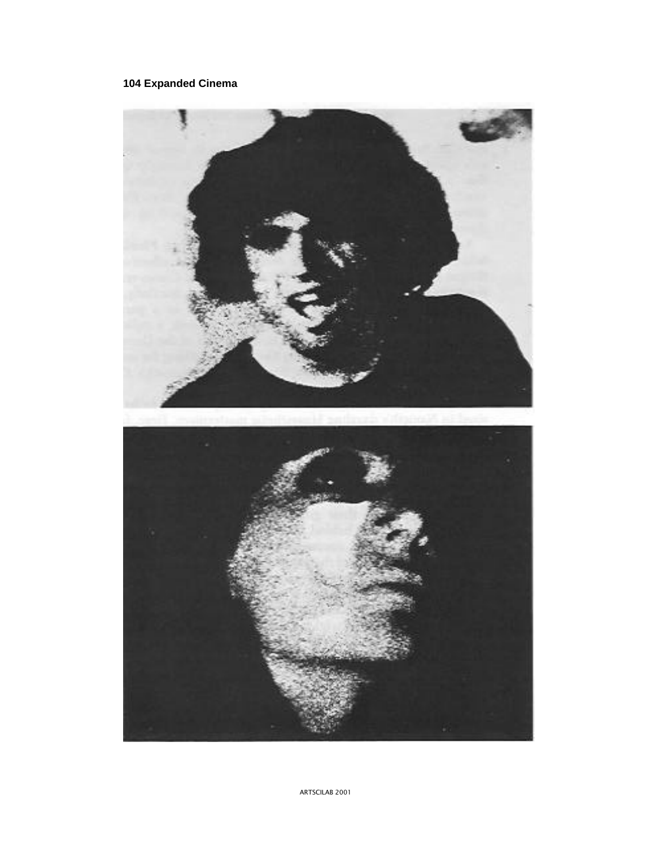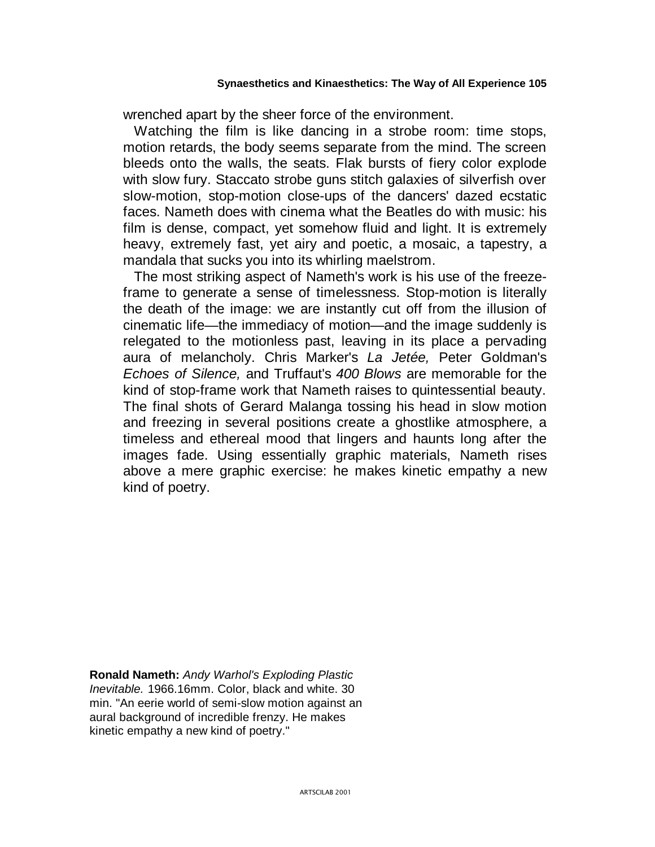#### **Synaesthetics and Kinaesthetics: The Way of All Experience 105**

wrenched apart by the sheer force of the environment.

Watching the film is like dancing in a strobe room: time stops, motion retards, the body seems separate from the mind. The screen bleeds onto the walls, the seats. Flak bursts of fiery color explode with slow fury. Staccato strobe guns stitch galaxies of silverfish over slow-motion, stop-motion close-ups of the dancers' dazed ecstatic faces. Nameth does with cinema what the Beatles do with music: his film is dense, compact, yet somehow fluid and light. It is extremely heavy, extremely fast, yet airy and poetic, a mosaic, a tapestry, a mandala that sucks you into its whirling maelstrom.

The most striking aspect of Nameth's work is his use of the freezeframe to generate a sense of timelessness. Stop-motion is literally the death of the image: we are instantly cut off from the illusion of cinematic life— the immediacy of motion— and the image suddenly is relegated to the motionless past, leaving in its place a pervading aura of melancholy. Chris Marker's *La Jetée,* Peter Goldman's *Echoes of Silence,* and Truffaut's *400 Blows* are memorable for the kind of stop-frame work that Nameth raises to quintessential beauty. The final shots of Gerard Malanga tossing his head in slow motion and freezing in several positions create a ghostlike atmosphere, a timeless and ethereal mood that lingers and haunts long after the images fade. Using essentially graphic materials, Nameth rises above a mere graphic exercise: he makes kinetic empathy a new kind of poetry.

**Ronald Nameth:** *Andy Warhol's Exploding Plastic Inevitable.* 1966.16mm. Color, black and white. 30 min. "An eerie world of semi-slow motion against an aural background of incredible frenzy. He makes kinetic empathy a new kind of poetry."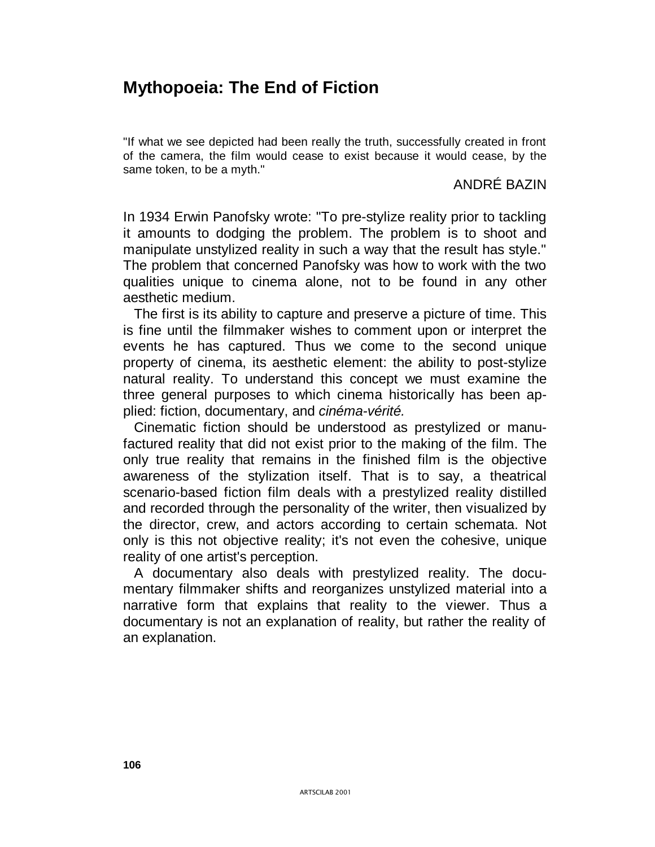# **Mythopoeia: The End of Fiction**

"If what we see depicted had been really the truth, successfully created in front of the camera, the film would cease to exist because it would cease, by the same token, to be a myth."

### ANDRÉ BAZIN

In 1934 Erwin Panofsky wrote: "To pre-stylize reality prior to tackling it amounts to dodging the problem. The problem is to shoot and manipulate unstylized reality in such a way that the result has style." The problem that concerned Panofsky was how to work with the two qualities unique to cinema alone, not to be found in any other aesthetic medium.

The first is its ability to capture and preserve a picture of time. This is fine until the filmmaker wishes to comment upon or interpret the events he has captured. Thus we come to the second unique property of cinema, its aesthetic element: the ability to post-stylize natural reality. To understand this concept we must examine the three general purposes to which cinema historically has been applied: fiction, documentary, and *cinéma-vérité.*

Cinematic fiction should be understood as prestylized or manufactured reality that did not exist prior to the making of the film. The only true reality that remains in the finished film is the objective awareness of the stylization itself. That is to say, a theatrical scenario-based fiction film deals with a prestylized reality distilled and recorded through the personality of the writer, then visualized by the director, crew, and actors according to certain schemata. Not only is this not objective reality; it's not even the cohesive, unique reality of one artist's perception.

A documentary also deals with prestylized reality. The documentary filmmaker shifts and reorganizes unstylized material into a narrative form that explains that reality to the viewer. Thus a documentary is not an explanation of reality, but rather the reality of an explanation.

**106**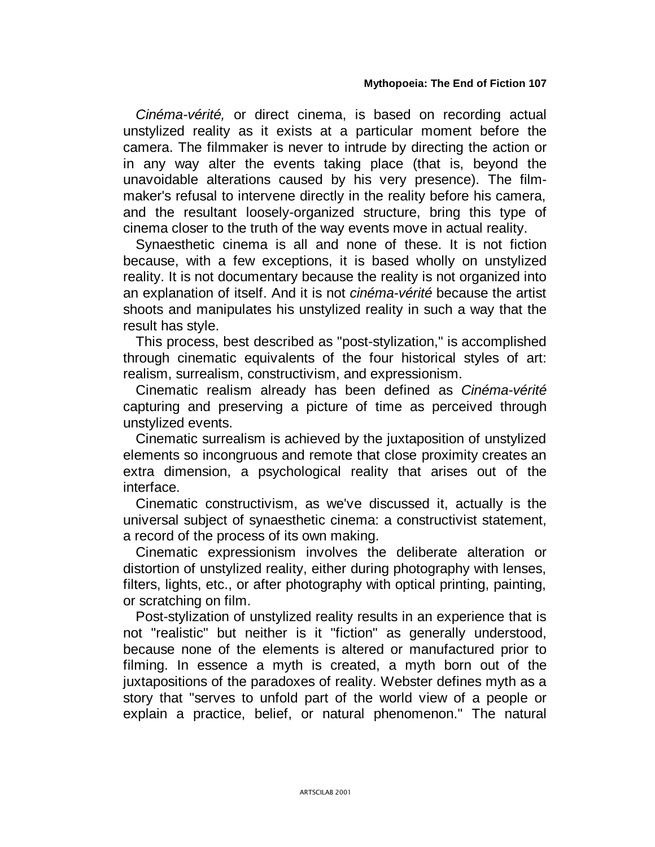*Cinéma-vérité,* or direct cinema, is based on recording actual unstylized reality as it exists at a particular moment before the camera. The filmmaker is never to intrude by directing the action or in any way alter the events taking place (that is, beyond the unavoidable alterations caused by his very presence). The filmmaker's refusal to intervene directly in the reality before his camera, and the resultant loosely-organized structure, bring this type of cinema closer to the truth of the way events move in actual reality.

Synaesthetic cinema is all and none of these. It is not fiction because, with a few exceptions, it is based wholly on unstylized reality. It is not documentary because the reality is not organized into an explanation of itself. And it is not *cinéma-vérité* because the artist shoots and manipulates his unstylized reality in such a way that the result has style.

This process, best described as "post-stylization," is accomplished through cinematic equivalents of the four historical styles of art: realism, surrealism, constructivism, and expressionism.

Cinematic realism already has been defined as *Cinéma-vérité* capturing and preserving a picture of time as perceived through unstylized events.

Cinematic surrealism is achieved by the juxtaposition of unstylized elements so incongruous and remote that close proximity creates an extra dimension, a psychological reality that arises out of the interface.

Cinematic constructivism, as we've discussed it, actually is the universal subject of synaesthetic cinema: a constructivist statement, a record of the process of its own making.

Cinematic expressionism involves the deliberate alteration or distortion of unstylized reality, either during photography with lenses, filters, lights, etc., or after photography with optical printing, painting, or scratching on film.

Post-stylization of unstylized reality results in an experience that is not "realistic" but neither is it "fiction" as generally understood, because none of the elements is altered or manufactured prior to filming. In essence a myth is created, a myth born out of the juxtapositions of the paradoxes of reality. Webster defines myth as a story that "serves to unfold part of the world view of a people or explain a practice, belief, or natural phenomenon." The natural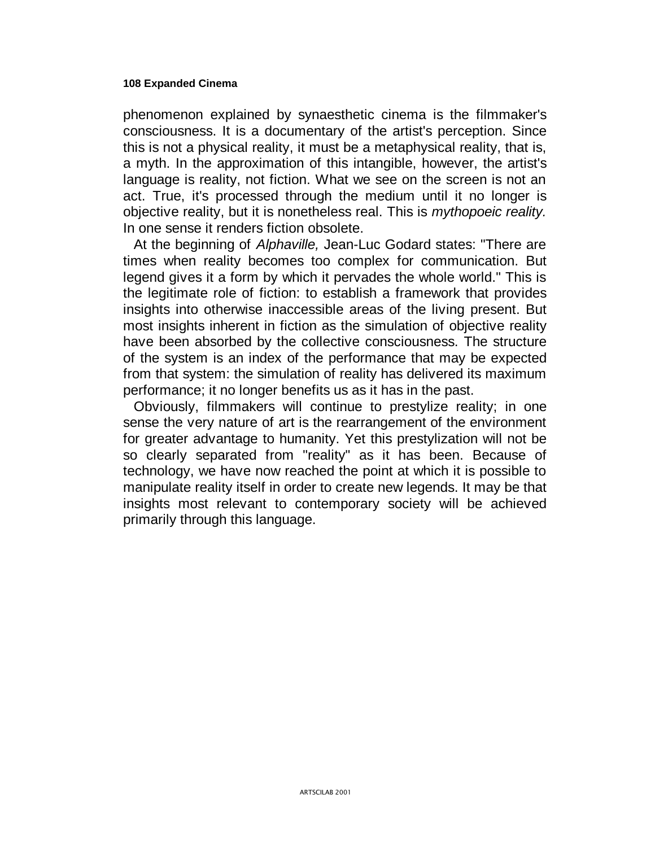phenomenon explained by synaesthetic cinema is the filmmaker's consciousness. It is a documentary of the artist's perception. Since this is not a physical reality, it must be a metaphysical reality, that is, a myth. In the approximation of this intangible, however, the artist's language is reality, not fiction. What we see on the screen is not an act. True, it's processed through the medium until it no longer is objective reality, but it is nonetheless real. This is *mythopoeic reality.*  In one sense it renders fiction obsolete.

At the beginning of *Alphaville,* Jean-Luc Godard states: "There are times when reality becomes too complex for communication. But legend gives it a form by which it pervades the whole world." This is the legitimate role of fiction: to establish a framework that provides insights into otherwise inaccessible areas of the living present. But most insights inherent in fiction as the simulation of objective reality have been absorbed by the collective consciousness. The structure of the system is an index of the performance that may be expected from that system: the simulation of reality has delivered its maximum performance; it no longer benefits us as it has in the past.

Obviously, filmmakers will continue to prestylize reality; in one sense the very nature of art is the rearrangement of the environment for greater advantage to humanity. Yet this prestylization will not be so clearly separated from "reality" as it has been. Because of technology, we have now reached the point at which it is possible to manipulate reality itself in order to create new legends. It may be that insights most relevant to contemporary society will be achieved primarily through this language.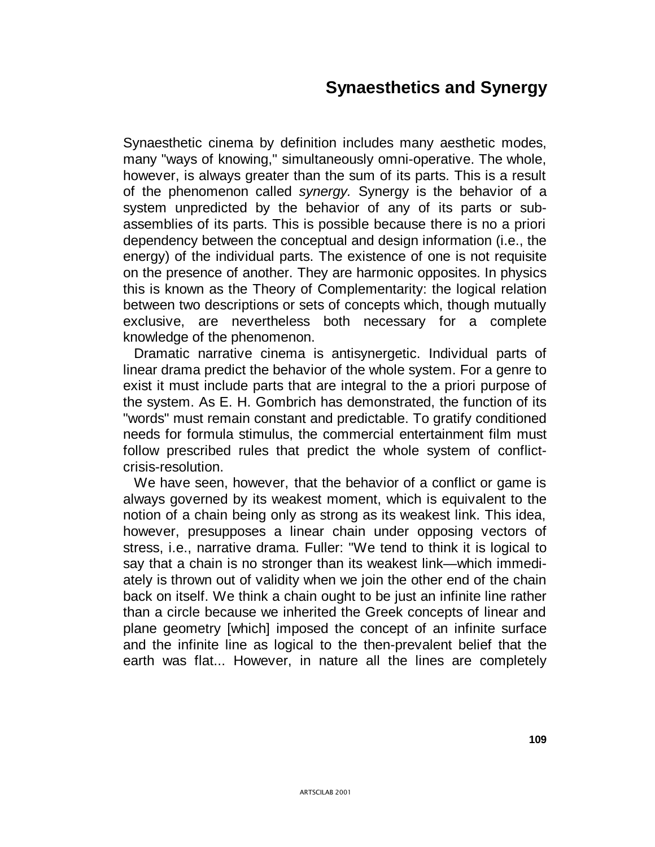# **Synaesthetics and Synergy**

Synaesthetic cinema by definition includes many aesthetic modes, many "ways of knowing," simultaneously omni-operative. The whole, however, is always greater than the sum of its parts. This is a result of the phenomenon called *synergy.* Synergy is the behavior of a system unpredicted by the behavior of any of its parts or subassemblies of its parts. This is possible because there is no a priori dependency between the conceptual and design information (i.e., the energy) of the individual parts. The existence of one is not requisite on the presence of another. They are harmonic opposites. In physics this is known as the Theory of Complementarity: the logical relation between two descriptions or sets of concepts which, though mutually exclusive, are nevertheless both necessary for a complete knowledge of the phenomenon.

Dramatic narrative cinema is antisynergetic. Individual parts of linear drama predict the behavior of the whole system. For a genre to exist it must include parts that are integral to the a priori purpose of the system. As E. H. Gombrich has demonstrated, the function of its "words" must remain constant and predictable. To gratify conditioned needs for formula stimulus, the commercial entertainment film must follow prescribed rules that predict the whole system of conflictcrisis-resolution.

We have seen, however, that the behavior of a conflict or game is always governed by its weakest moment, which is equivalent to the notion of a chain being only as strong as its weakest link. This idea, however, presupposes a linear chain under opposing vectors of stress, i.e., narrative drama. Fuller: "We tend to think it is logical to say that a chain is no stronger than its weakest link— which immediately is thrown out of validity when we join the other end of the chain back on itself. We think a chain ought to be just an infinite line rather than a circle because we inherited the Greek concepts of linear and plane geometry [which] imposed the concept of an infinite surface and the infinite line as logical to the then-prevalent belief that the earth was flat... However, in nature all the lines are completely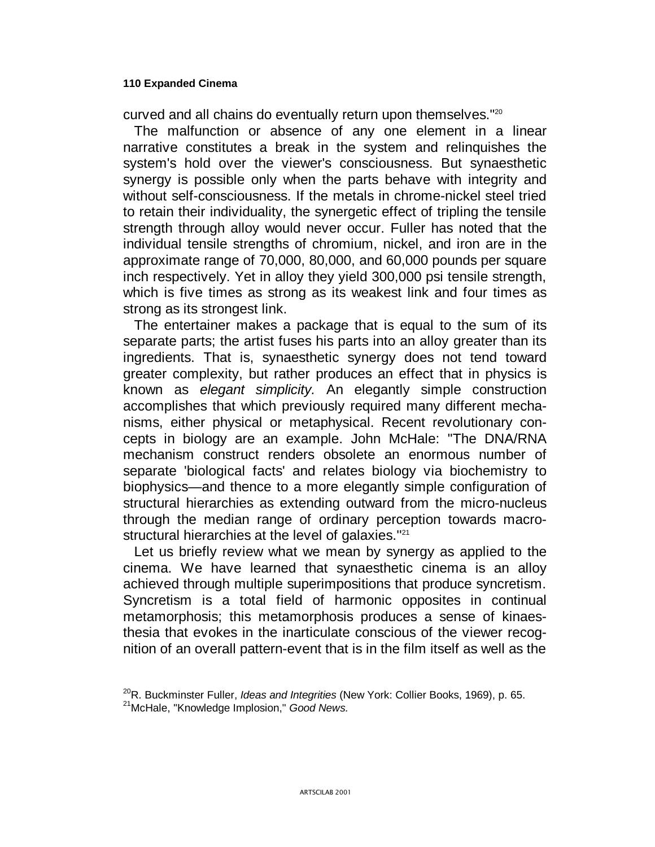curved and all chains do eventually return upon themselves."<sup>20</sup>

The malfunction or absence of any one element in a linear narrative constitutes a break in the system and relinquishes the system's hold over the viewer's consciousness. But synaesthetic synergy is possible only when the parts behave with integrity and without self-consciousness. If the metals in chrome-nickel steel tried to retain their individuality, the synergetic effect of tripling the tensile strength through alloy would never occur. Fuller has noted that the individual tensile strengths of chromium, nickel, and iron are in the approximate range of 70,000, 80,000, and 60,000 pounds per square inch respectively. Yet in alloy they yield 300,000 psi tensile strength, which is five times as strong as its weakest link and four times as strong as its strongest link.

The entertainer makes a package that is equal to the sum of its separate parts; the artist fuses his parts into an alloy greater than its ingredients. That is, synaesthetic synergy does not tend toward greater complexity, but rather produces an effect that in physics is known as *elegant simplicity.* An elegantly simple construction accomplishes that which previously required many different mechanisms, either physical or metaphysical. Recent revolutionary concepts in biology are an example. John McHale: "The DNA/RNA mechanism construct renders obsolete an enormous number of separate 'biological facts' and relates biology via biochemistry to biophysics— and thence to a more elegantly simple configuration of structural hierarchies as extending outward from the micro-nucleus through the median range of ordinary perception towards macrostructural hierarchies at the level of galaxies."<sup>21</sup>

Let us briefly review what we mean by synergy as applied to the cinema. We have learned that synaesthetic cinema is an alloy achieved through multiple superimpositions that produce syncretism. Syncretism is a total field of harmonic opposites in continual metamorphosis; this metamorphosis produces a sense of kinaesthesia that evokes in the inarticulate conscious of the viewer recognition of an overall pattern-event that is in the film itself as well as the

<sup>20</sup>R. Buckminster Fuller, *Ideas and Integrities* (New York: Collier Books, 1969), p. 65. <sup>21</sup>McHale, "Knowledge Implosion," *Good News.*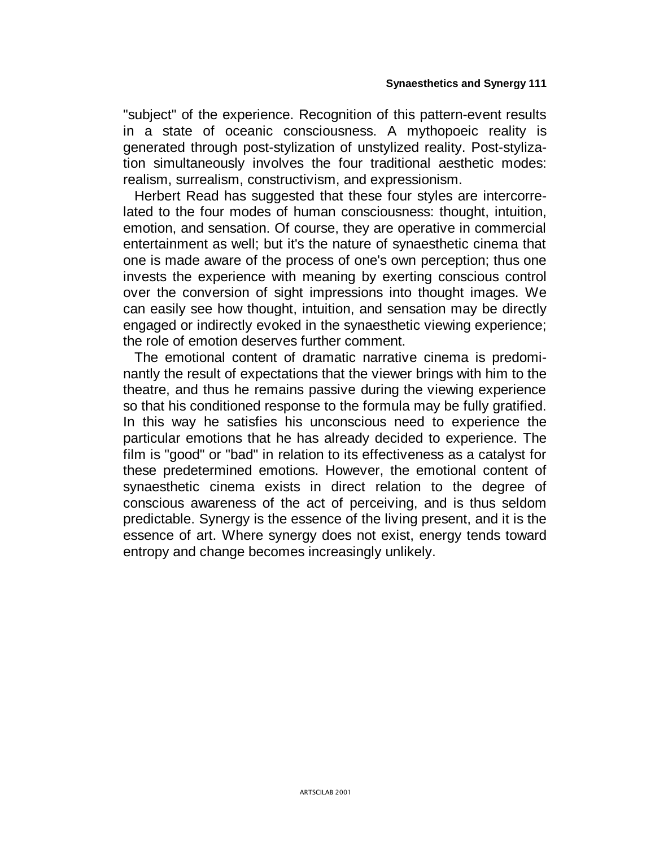"subject" of the experience. Recognition of this pattern-event results in a state of oceanic consciousness. A mythopoeic reality is generated through post-stylization of unstylized reality. Post-stylization simultaneously involves the four traditional aesthetic modes: realism, surrealism, constructivism, and expressionism.

Herbert Read has suggested that these four styles are intercorrelated to the four modes of human consciousness: thought, intuition, emotion, and sensation. Of course, they are operative in commercial entertainment as well; but it's the nature of synaesthetic cinema that one is made aware of the process of one's own perception; thus one invests the experience with meaning by exerting conscious control over the conversion of sight impressions into thought images. We can easily see how thought, intuition, and sensation may be directly engaged or indirectly evoked in the synaesthetic viewing experience; the role of emotion deserves further comment.

The emotional content of dramatic narrative cinema is predominantly the result of expectations that the viewer brings with him to the theatre, and thus he remains passive during the viewing experience so that his conditioned response to the formula may be fully gratified. In this way he satisfies his unconscious need to experience the particular emotions that he has already decided to experience. The film is "good" or "bad" in relation to its effectiveness as a catalyst for these predetermined emotions. However, the emotional content of synaesthetic cinema exists in direct relation to the degree of conscious awareness of the act of perceiving, and is thus seldom predictable. Synergy is the essence of the living present, and it is the essence of art. Where synergy does not exist, energy tends toward entropy and change becomes increasingly unlikely.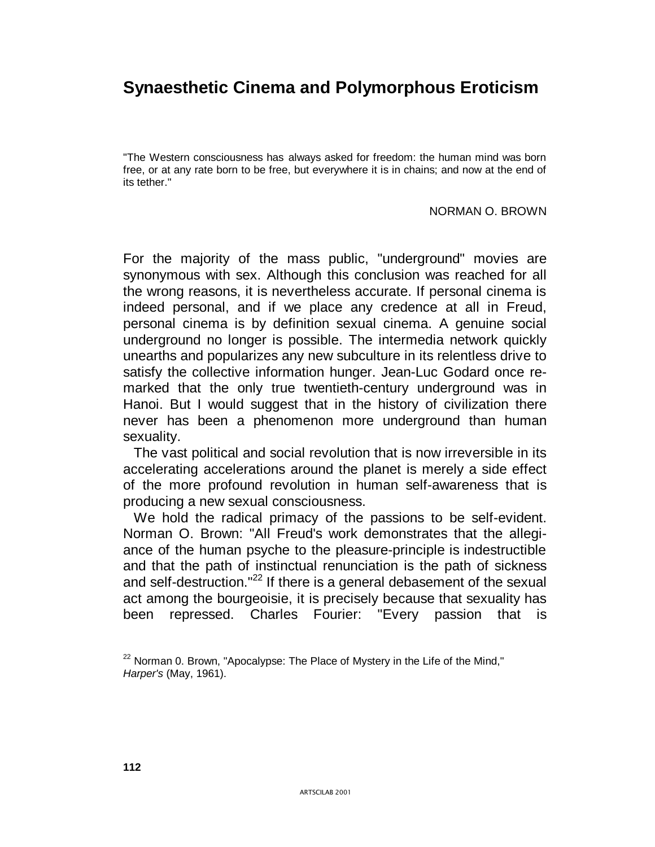# **Synaesthetic Cinema and Polymorphous Eroticism**

"The Western consciousness has always asked for freedom: the human mind was born free, or at any rate born to be free, but everywhere it is in chains; and now at the end of its tether."

#### NORMAN O. BROWN

For the majority of the mass public, "underground" movies are synonymous with sex. Although this conclusion was reached for all the wrong reasons, it is nevertheless accurate. If personal cinema is indeed personal, and if we place any credence at all in Freud, personal cinema is by definition sexual cinema. A genuine social underground no longer is possible. The intermedia network quickly unearths and popularizes any new subculture in its relentless drive to satisfy the collective information hunger. Jean-Luc Godard once remarked that the only true twentieth-century underground was in Hanoi. But I would suggest that in the history of civilization there never has been a phenomenon more underground than human sexuality.

The vast political and social revolution that is now irreversible in its accelerating accelerations around the planet is merely a side effect of the more profound revolution in human self-awareness that is producing a new sexual consciousness.

We hold the radical primacy of the passions to be self-evident. Norman O. Brown: "All Freud's work demonstrates that the allegiance of the human psyche to the pleasure-principle is indestructible and that the path of instinctual renunciation is the path of sickness and self-destruction."<sup>22</sup> If there is a general debasement of the sexual act among the bourgeoisie, it is precisely because that sexuality has been repressed. Charles Fourier: "Every passion that is

 $22$  Norman 0. Brown, "Apocalypse: The Place of Mystery in the Life of the Mind," *Harper's* (May, 1961).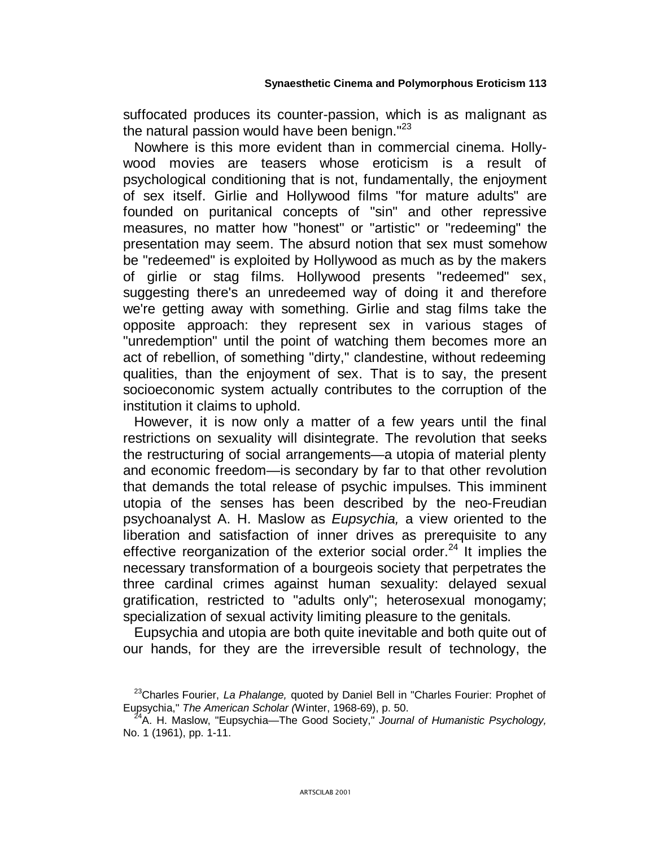suffocated produces its counter-passion, which is as malignant as the natural passion would have been benign."<sup>23</sup>

Nowhere is this more evident than in commercial cinema. Hollywood movies are teasers whose eroticism is a result of psychological conditioning that is not, fundamentally, the enjoyment of sex itself. Girlie and Hollywood films "for mature adults" are founded on puritanical concepts of "sin" and other repressive measures, no matter how "honest" or "artistic" or "redeeming" the presentation may seem. The absurd notion that sex must somehow be "redeemed" is exploited by Hollywood as much as by the makers of girlie or stag films. Hollywood presents "redeemed" sex, suggesting there's an unredeemed way of doing it and therefore we're getting away with something. Girlie and stag films take the opposite approach: they represent sex in various stages of "unredemption" until the point of watching them becomes more an act of rebellion, of something "dirty," clandestine, without redeeming qualities, than the enjoyment of sex. That is to say, the present socioeconomic system actually contributes to the corruption of the institution it claims to uphold.

However, it is now only a matter of a few years until the final restrictions on sexuality will disintegrate. The revolution that seeks the restructuring of social arrangements— a utopia of material plenty and economic freedom— is secondary by far to that other revolution that demands the total release of psychic impulses. This imminent utopia of the senses has been described by the neo-Freudian psychoanalyst A. H. Maslow as *Eupsychia,* a view oriented to the liberation and satisfaction of inner drives as prerequisite to any effective reorganization of the exterior social order. $24$  It implies the necessary transformation of a bourgeois society that perpetrates the three cardinal crimes against human sexuality: delayed sexual gratification, restricted to "adults only"; heterosexual monogamy; specialization of sexual activity limiting pleasure to the genitals.

Eupsychia and utopia are both quite inevitable and both quite out of our hands, for they are the irreversible result of technology, the

<sup>23</sup>Charles Fourier, *La Phalange,* quoted by Daniel Bell in "Charles Fourier: Prophet of Eupsychia," *The American Scholar (*Winter, 1968-69), p. 50.

<sup>&</sup>lt;sup>4</sup>A. H. Maslow, "Eupsychia— The Good Society," Journal of Humanistic Psychology, No. 1 (1961), pp. 1-11.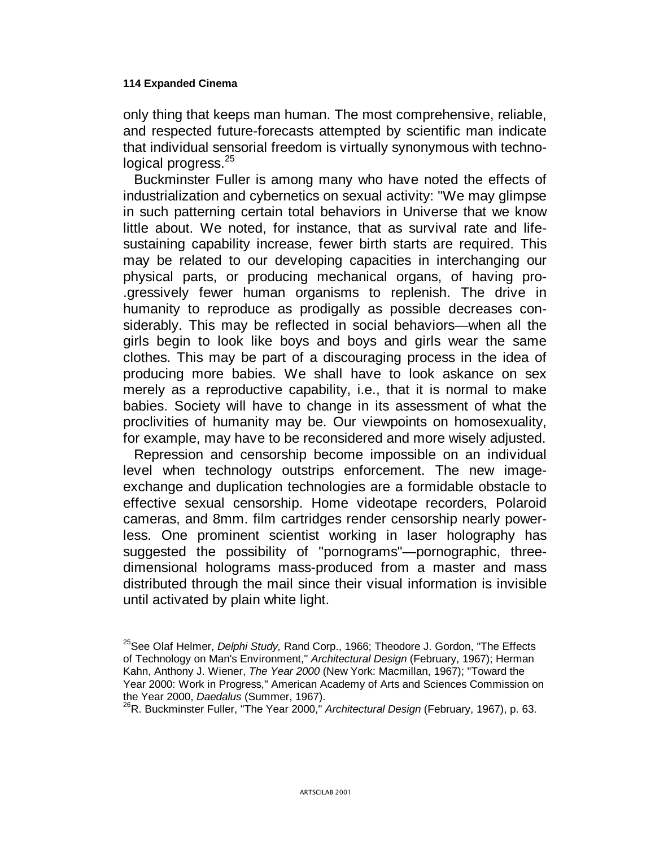only thing that keeps man human. The most comprehensive, reliable, and respected future-forecasts attempted by scientific man indicate that individual sensorial freedom is virtually synonymous with technological progress.<sup>25</sup>

Buckminster Fuller is among many who have noted the effects of industrialization and cybernetics on sexual activity: "We may glimpse in such patterning certain total behaviors in Universe that we know little about. We noted, for instance, that as survival rate and lifesustaining capability increase, fewer birth starts are required. This may be related to our developing capacities in interchanging our physical parts, or producing mechanical organs, of having pro- .gressively fewer human organisms to replenish. The drive in humanity to reproduce as prodigally as possible decreases considerably. This may be reflected in social behaviors— when all the girls begin to look like boys and boys and girls wear the same clothes. This may be part of a discouraging process in the idea of producing more babies. We shall have to look askance on sex merely as a reproductive capability, i.e., that it is normal to make babies. Society will have to change in its assessment of what the proclivities of humanity may be. Our viewpoints on homosexuality, for example, may have to be reconsidered and more wisely adjusted.

Repression and censorship become impossible on an individual level when technology outstrips enforcement. The new imageexchange and duplication technologies are a formidable obstacle to effective sexual censorship. Home videotape recorders, Polaroid cameras, and 8mm. film cartridges render censorship nearly powerless. One prominent scientist working in laser holography has suggested the possibility of "pornograms"— pornographic, threedimensional holograms mass-produced from a master and mass distributed through the mail since their visual information is invisible until activated by plain white light.

<sup>25</sup>See Olaf Helmer, *Delphi Study,* Rand Corp., 1966; Theodore J. Gordon, "The Effects of Technology on Man's Environment," *Architectural Design* (February, 1967); Herman Kahn, Anthony J. Wiener, *The Year 2000* (New York: Macmillan, 1967); "Toward the Year 2000: Work in Progress," American Academy of Arts and Sciences Commission on the Year 2000, *Daedalus* (Summer, 1967).

<sup>26</sup>R. Buckminster Fuller, "The Year 2000," *Architectural Design* (February, 1967), p. 63.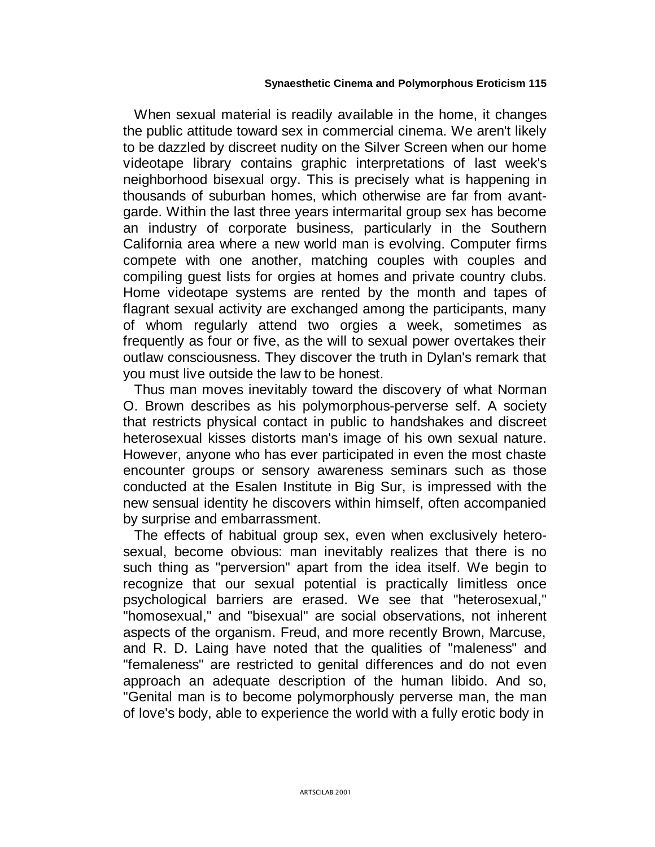When sexual material is readily available in the home, it changes the public attitude toward sex in commercial cinema. We aren't likely to be dazzled by discreet nudity on the Silver Screen when our home videotape library contains graphic interpretations of last week's neighborhood bisexual orgy. This is precisely what is happening in thousands of suburban homes, which otherwise are far from avantgarde. Within the last three years intermarital group sex has become an industry of corporate business, particularly in the Southern California area where a new world man is evolving. Computer firms compete with one another, matching couples with couples and compiling guest lists for orgies at homes and private country clubs. Home videotape systems are rented by the month and tapes of flagrant sexual activity are exchanged among the participants, many of whom regularly attend two orgies a week, sometimes as frequently as four or five, as the will to sexual power overtakes their outlaw consciousness. They discover the truth in Dylan's remark that you must live outside the law to be honest.

Thus man moves inevitably toward the discovery of what Norman O. Brown describes as his polymorphous-perverse self. A society that restricts physical contact in public to handshakes and discreet heterosexual kisses distorts man's image of his own sexual nature. However, anyone who has ever participated in even the most chaste encounter groups or sensory awareness seminars such as those conducted at the Esalen Institute in Big Sur, is impressed with the new sensual identity he discovers within himself, often accompanied by surprise and embarrassment.

The effects of habitual group sex, even when exclusively heterosexual, become obvious: man inevitably realizes that there is no such thing as "perversion" apart from the idea itself. We begin to recognize that our sexual potential is practically limitless once psychological barriers are erased. We see that "heterosexual," "homosexual," and "bisexual" are social observations, not inherent aspects of the organism. Freud, and more recently Brown, Marcuse, and R. D. Laing have noted that the qualities of "maleness" and "femaleness" are restricted to genital differences and do not even approach an adequate description of the human libido. And so, "Genital man is to become polymorphously perverse man, the man of love's body, able to experience the world with a fully erotic body in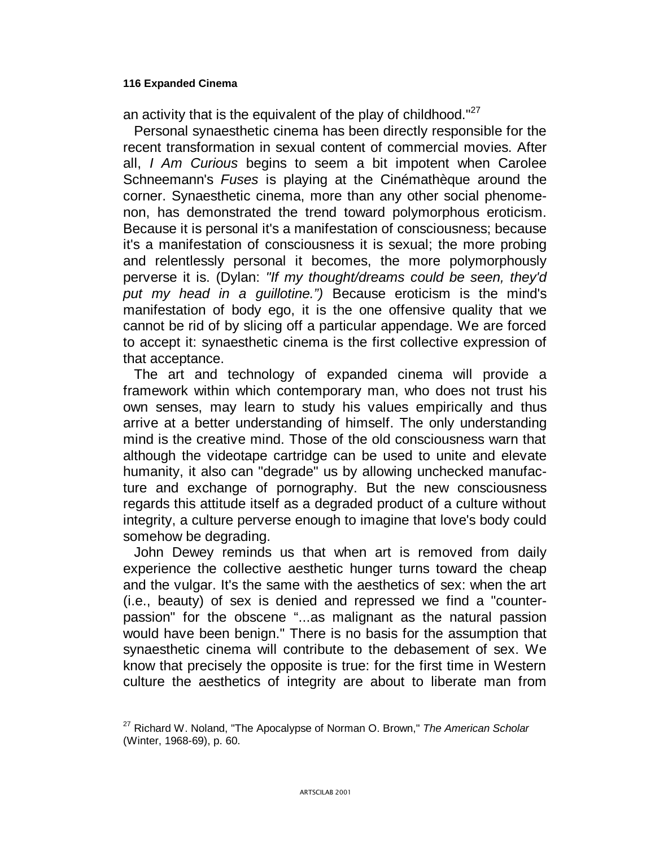an activity that is the equivalent of the play of childhood." $27$ 

Personal synaesthetic cinema has been directly responsible for the recent transformation in sexual content of commercial movies. After all, *I Am Curious* begins to seem a bit impotent when Carolee Schneemann's *Fuses* is playing at the Cinémathèque around the corner. Synaesthetic cinema, more than any other social phenomenon, has demonstrated the trend toward polymorphous eroticism. Because it is personal it's a manifestation of consciousness; because it's a manifestation of consciousness it is sexual; the more probing and relentlessly personal it becomes, the more polymorphously perverse it is. (Dylan: *"If my thought/dreams could be seen, they'd put my head in a guillotine.")* Because eroticism is the mind's manifestation of body ego, it is the one offensive quality that we cannot be rid of by slicing off a particular appendage. We are forced to accept it: synaesthetic cinema is the first collective expression of that acceptance.

The art and technology of expanded cinema will provide a framework within which contemporary man, who does not trust his own senses, may learn to study his values empirically and thus arrive at a better understanding of himself. The only understanding mind is the creative mind. Those of the old consciousness warn that although the videotape cartridge can be used to unite and elevate humanity, it also can "degrade" us by allowing unchecked manufacture and exchange of pornography. But the new consciousness regards this attitude itself as a degraded product of a culture without integrity, a culture perverse enough to imagine that love's body could somehow be degrading.

John Dewey reminds us that when art is removed from daily experience the collective aesthetic hunger turns toward the cheap and the vulgar. It's the same with the aesthetics of sex: when the art (i.e., beauty) of sex is denied and repressed we find a "counterpassion" for the obscene "...as malignant as the natural passion would have been benign." There is no basis for the assumption that synaesthetic cinema will contribute to the debasement of sex. We know that precisely the opposite is true: for the first time in Western culture the aesthetics of integrity are about to liberate man from

<sup>27</sup> Richard W. Noland, "The Apocalypse of Norman O. Brown," *The American Scholar*  (Winter, 1968-69), p. 60.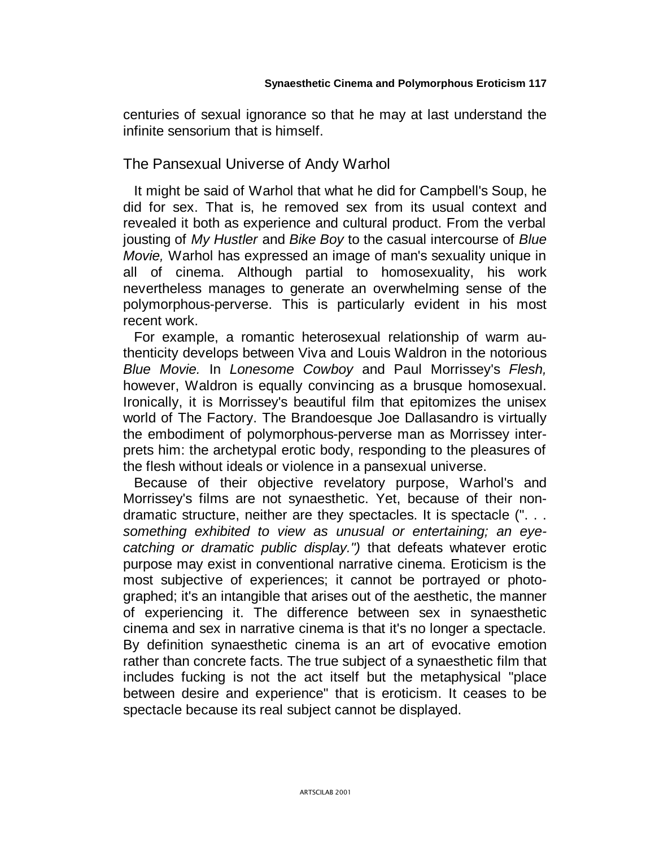centuries of sexual ignorance so that he may at last understand the infinite sensorium that is himself.

## The Pansexual Universe of Andy Warhol

It might be said of Warhol that what he did for Campbell's Soup, he did for sex. That is, he removed sex from its usual context and revealed it both as experience and cultural product. From the verbal jousting of *My Hustler* and *Bike Boy* to the casual intercourse of *Blue Movie,* Warhol has expressed an image of man's sexuality unique in all of cinema. Although partial to homosexuality, his work nevertheless manages to generate an overwhelming sense of the polymorphous-perverse. This is particularly evident in his most recent work.

For example, a romantic heterosexual relationship of warm authenticity develops between Viva and Louis Waldron in the notorious *Blue Movie.* In *Lonesome Cowboy* and Paul Morrissey's *Flesh,*  however, Waldron is equally convincing as a brusque homosexual. Ironically, it is Morrissey's beautiful film that epitomizes the unisex world of The Factory. The Brandoesque Joe Dallasandro is virtually the embodiment of polymorphous-perverse man as Morrissey interprets him: the archetypal erotic body, responding to the pleasures of the flesh without ideals or violence in a pansexual universe.

Because of their objective revelatory purpose, Warhol's and Morrissey's films are not synaesthetic. Yet, because of their nondramatic structure, neither are they spectacles. It is spectacle (". . . *something exhibited to view as unusual or entertaining; an eyecatching or dramatic public display.")* that defeats whatever erotic purpose may exist in conventional narrative cinema. Eroticism is the most subjective of experiences; it cannot be portrayed or photographed; it's an intangible that arises out of the aesthetic, the manner of experiencing it. The difference between sex in synaesthetic cinema and sex in narrative cinema is that it's no longer a spectacle. By definition synaesthetic cinema is an art of evocative emotion rather than concrete facts. The true subject of a synaesthetic film that includes fucking is not the act itself but the metaphysical "place between desire and experience" that is eroticism. It ceases to be spectacle because its real subject cannot be displayed.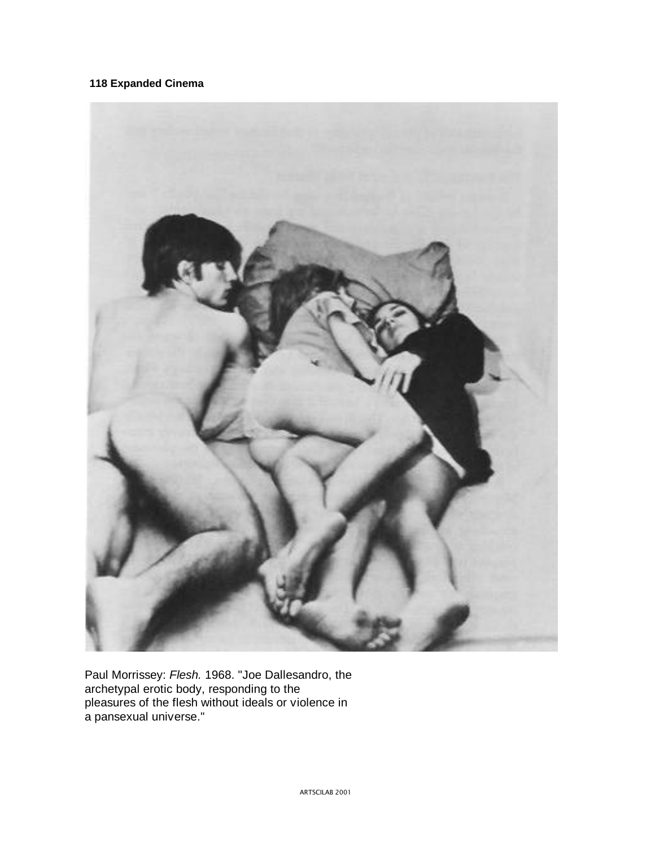

Paul Morrissey: *Flesh.* 1968. "Joe Dallesandro, the archetypal erotic body, responding to the pleasures of the flesh without ideals or violence in a pansexual universe."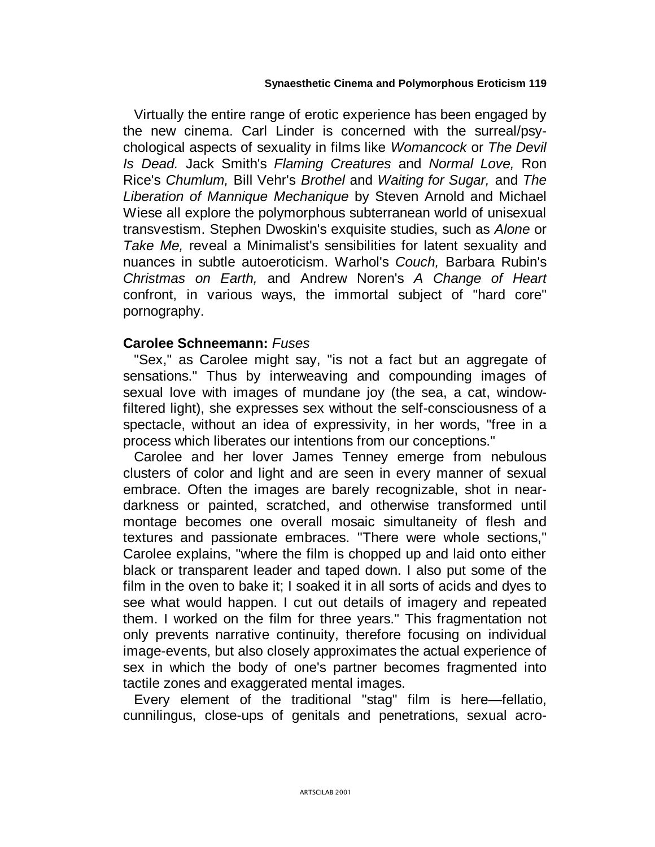Virtually the entire range of erotic experience has been engaged by the new cinema. Carl Linder is concerned with the surreal/psychological aspects of sexuality in films like *Womancock* or *The Devil Is Dead.* Jack Smith's *Flaming Creatures* and *Normal Love,* Ron Rice's *Chumlum,* Bill Vehr's *Brothel* and *Waiting for Sugar,* and *The Liberation of Mannique Mechanique* by Steven Arnold and Michael Wiese all explore the polymorphous subterranean world of unisexual transvestism. Stephen Dwoskin's exquisite studies, such as *Alone* or *Take Me,* reveal a Minimalist's sensibilities for latent sexuality and nuances in subtle autoeroticism. Warhol's *Couch,* Barbara Rubin's *Christmas on Earth,* and Andrew Noren's *A Change of Heart* confront, in various ways, the immortal subject of "hard core" pornography.

## **Carolee Schneemann:** *Fuses*

"Sex," as Carolee might say, "is not a fact but an aggregate of sensations." Thus by interweaving and compounding images of sexual love with images of mundane joy (the sea, a cat, windowfiltered light), she expresses sex without the self-consciousness of a spectacle, without an idea of expressivity, in her words, "free in a process which liberates our intentions from our conceptions."

Carolee and her lover James Tenney emerge from nebulous clusters of color and light and are seen in every manner of sexual embrace. Often the images are barely recognizable, shot in neardarkness or painted, scratched, and otherwise transformed until montage becomes one overall mosaic simultaneity of flesh and textures and passionate embraces. "There were whole sections," Carolee explains, "where the film is chopped up and laid onto either black or transparent leader and taped down. I also put some of the film in the oven to bake it; I soaked it in all sorts of acids and dyes to see what would happen. I cut out details of imagery and repeated them. I worked on the film for three years." This fragmentation not only prevents narrative continuity, therefore focusing on individual image-events, but also closely approximates the actual experience of sex in which the body of one's partner becomes fragmented into tactile zones and exaggerated mental images.

Every element of the traditional "stag" film is here— fellatio, cunnilingus, close-ups of genitals and penetrations, sexual acro-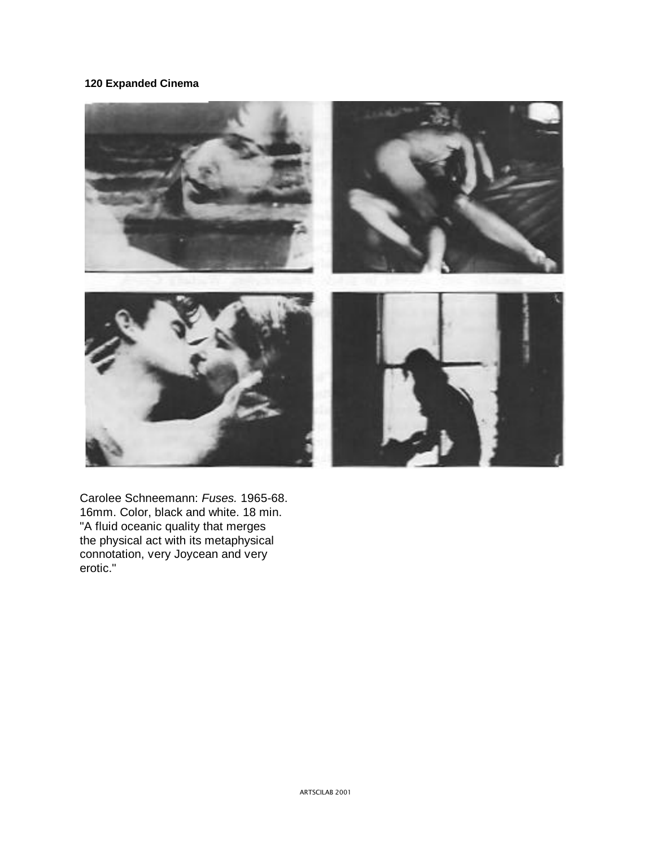

Carolee Schneemann: *Fuses.* 1965-68. 16mm. Color, black and white. 18 min. "A fluid oceanic quality that merges the physical act with its metaphysical connotation, very Joycean and very erotic."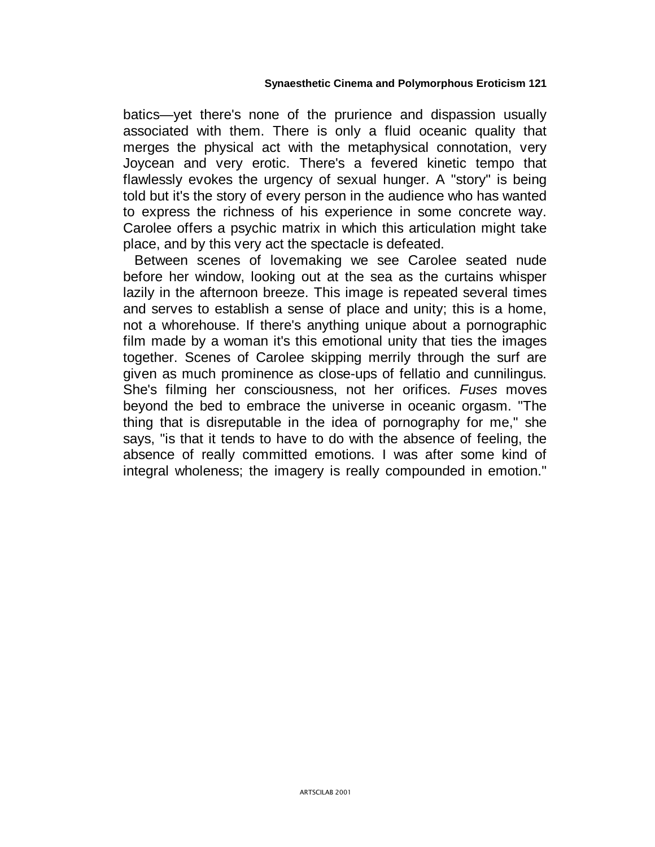batics— yet there's none of the prurience and dispassion usually associated with them. There is only a fluid oceanic quality that merges the physical act with the metaphysical connotation, very Joycean and very erotic. There's a fevered kinetic tempo that flawlessly evokes the urgency of sexual hunger. A "story" is being told but it's the story of every person in the audience who has wanted to express the richness of his experience in some concrete way. Carolee offers a psychic matrix in which this articulation might take place, and by this very act the spectacle is defeated.

Between scenes of lovemaking we see Carolee seated nude before her window, looking out at the sea as the curtains whisper lazily in the afternoon breeze. This image is repeated several times and serves to establish a sense of place and unity; this is a home, not a whorehouse. If there's anything unique about a pornographic film made by a woman it's this emotional unity that ties the images together. Scenes of Carolee skipping merrily through the surf are given as much prominence as close-ups of fellatio and cunnilingus. She's filming her consciousness, not her orifices. *Fuses* moves beyond the bed to embrace the universe in oceanic orgasm. "The thing that is disreputable in the idea of pornography for me," she says, "is that it tends to have to do with the absence of feeling, the absence of really committed emotions. I was after some kind of integral wholeness; the imagery is really compounded in emotion."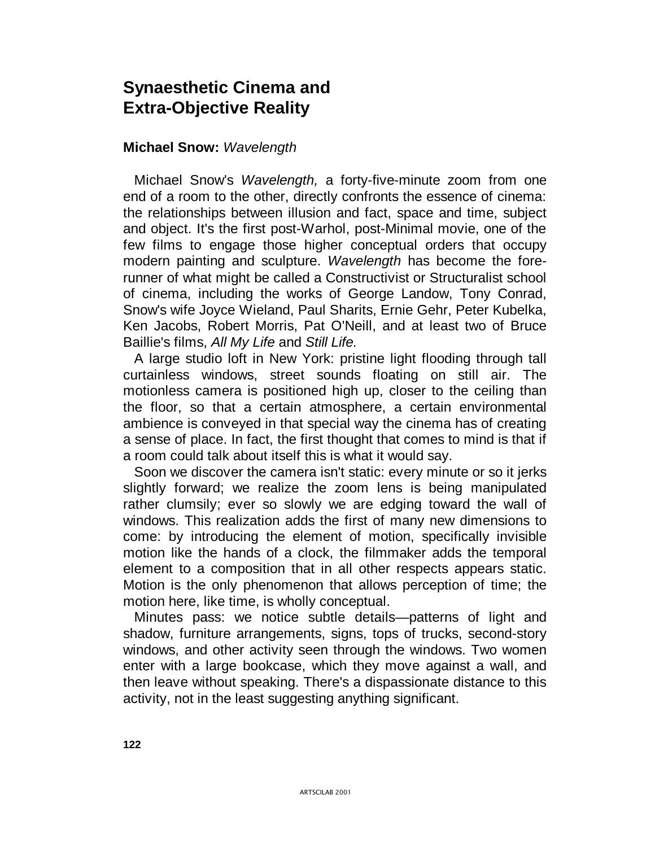# **Synaesthetic Cinema and Extra-Objective Reality**

## **Michael Snow:** *Wavelength*

Michael Snow's *Wavelength,* a forty-five-minute zoom from one end of a room to the other, directly confronts the essence of cinema: the relationships between illusion and fact, space and time, subject and object. It's the first post-Warhol, post-Minimal movie, one of the few films to engage those higher conceptual orders that occupy modern painting and sculpture. *Wavelength* has become the forerunner of what might be called a Constructivist or Structuralist school of cinema, including the works of George Landow, Tony Conrad, Snow's wife Joyce Wieland, Paul Sharits, Ernie Gehr, Peter Kubelka, Ken Jacobs, Robert Morris, Pat O'Neill, and at least two of Bruce Baillie's films, *All My Life* and *Still Life.*

A large studio loft in New York: pristine light flooding through tall curtainless windows, street sounds floating on still air. The motionless camera is positioned high up, closer to the ceiling than the floor, so that a certain atmosphere, a certain environmental ambience is conveyed in that special way the cinema has of creating a sense of place. In fact, the first thought that comes to mind is that if a room could talk about itself this is what it would say.

Soon we discover the camera isn't static: every minute or so it jerks slightly forward; we realize the zoom lens is being manipulated rather clumsily; ever so slowly we are edging toward the wall of windows. This realization adds the first of many new dimensions to come: by introducing the element of motion, specifically invisible motion like the hands of a clock, the filmmaker adds the temporal element to a composition that in all other respects appears static. Motion is the only phenomenon that allows perception of time; the motion here, like time, is wholly conceptual.

Minutes pass: we notice subtle details— patterns of light and shadow, furniture arrangements, signs, tops of trucks, second-story windows, and other activity seen through the windows. Two women enter with a large bookcase, which they move against a wall, and then leave without speaking. There's a dispassionate distance to this activity, not in the least suggesting anything significant.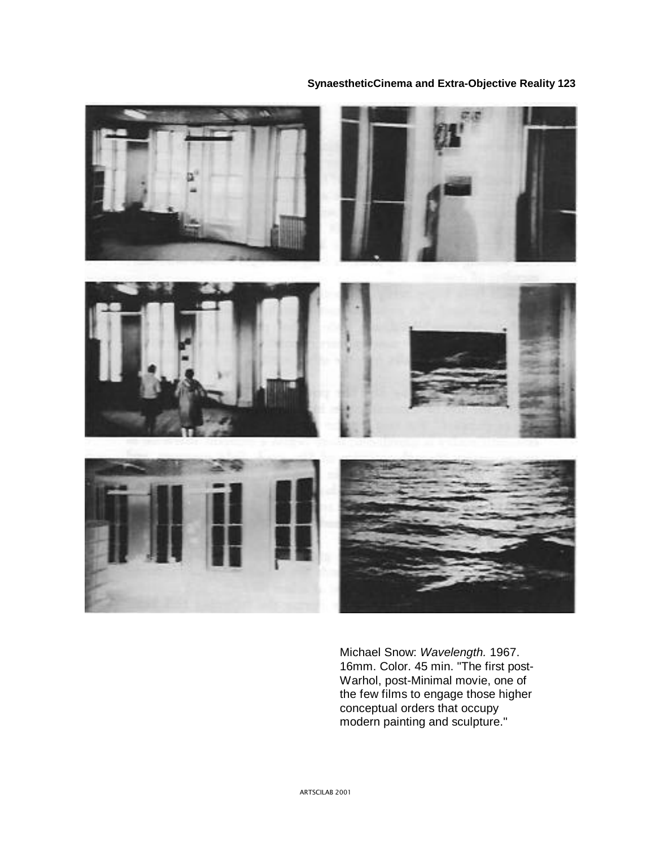### **SynaestheticCinema and Extra-Objective Reality 123**



Michael Snow: *Wavelength.* 1967. 16mm. Color. 45 min. "The first post-Warhol, post-Minimal movie, one of the few films to engage those higher conceptual orders that occupy modern painting and sculpture."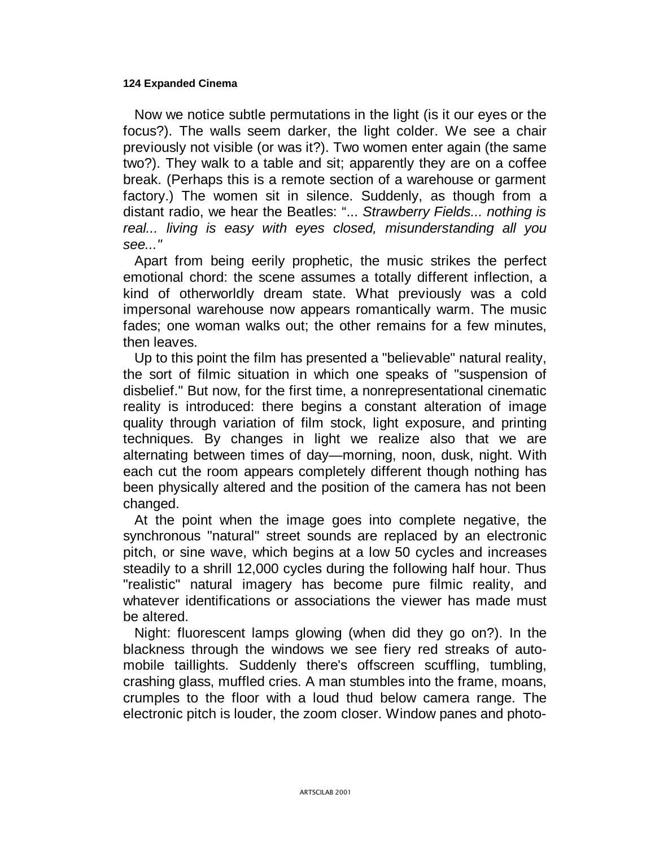Now we notice subtle permutations in the light (is it our eyes or the focus?). The walls seem darker, the light colder. We see a chair previously not visible (or was it?). Two women enter again (the same two?). They walk to a table and sit; apparently they are on a coffee break. (Perhaps this is a remote section of a warehouse or garment factory.) The women sit in silence. Suddenly, as though from a distant radio, we hear the Beatles: "... *Strawberry Fields... nothing is real... living is easy with eyes closed, misunderstanding all you see..."*

Apart from being eerily prophetic, the music strikes the perfect emotional chord: the scene assumes a totally different inflection, a kind of otherworldly dream state. What previously was a cold impersonal warehouse now appears romantically warm. The music fades; one woman walks out; the other remains for a few minutes, then leaves.

Up to this point the film has presented a "believable" natural reality, the sort of filmic situation in which one speaks of "suspension of disbelief." But now, for the first time, a nonrepresentational cinematic reality is introduced: there begins a constant alteration of image quality through variation of film stock, light exposure, and printing techniques. By changes in light we realize also that we are alternating between times of day— morning, noon, dusk, night. With each cut the room appears completely different though nothing has been physically altered and the position of the camera has not been changed.

At the point when the image goes into complete negative, the synchronous "natural" street sounds are replaced by an electronic pitch, or sine wave, which begins at a low 50 cycles and increases steadily to a shrill 12,000 cycles during the following half hour. Thus "realistic" natural imagery has become pure filmic reality, and whatever identifications or associations the viewer has made must be altered.

Night: fluorescent lamps glowing (when did they go on?). In the blackness through the windows we see fiery red streaks of automobile taillights. Suddenly there's offscreen scuffling, tumbling, crashing glass, muffled cries. A man stumbles into the frame, moans, crumples to the floor with a loud thud below camera range. The electronic pitch is louder, the zoom closer. Window panes and photo-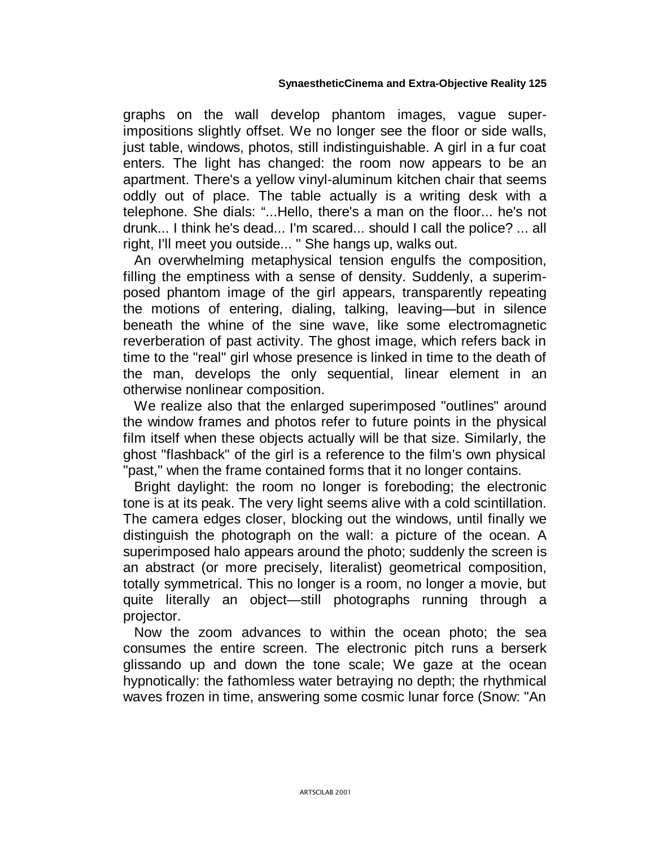graphs on the wall develop phantom images, vague superimpositions slightly offset. We no longer see the floor or side walls, just table, windows, photos, still indistinguishable. A girl in a fur coat enters. The light has changed: the room now appears to be an apartment. There's a yellow vinyl-aluminum kitchen chair that seems oddly out of place. The table actually is a writing desk with a telephone. She dials: "...Hello, there's a man on the floor... he's not drunk... I think he's dead... I'm scared... should I call the police? ... all right, I'll meet you outside... " She hangs up, walks out.

An overwhelming metaphysical tension engulfs the composition, filling the emptiness with a sense of density. Suddenly, a superimposed phantom image of the girl appears, transparently repeating the motions of entering, dialing, talking, leaving— but in silence beneath the whine of the sine wave, like some electromagnetic reverberation of past activity. The ghost image, which refers back in time to the "real" girl whose presence is linked in time to the death of the man, develops the only sequential, linear element in an otherwise nonlinear composition.

We realize also that the enlarged superimposed "outlines" around the window frames and photos refer to future points in the physical film itself when these objects actually will be that size. Similarly, the ghost "flashback" of the girl is a reference to the film's own physical "past," when the frame contained forms that it no longer contains.

Bright daylight: the room no longer is foreboding; the electronic tone is at its peak. The very light seems alive with a cold scintillation. The camera edges closer, blocking out the windows, until finally we distinguish the photograph on the wall: a picture of the ocean. A superimposed halo appears around the photo; suddenly the screen is an abstract (or more precisely, literalist) geometrical composition, totally symmetrical. This no longer is a room, no longer a movie, but quite literally an object— still photographs running through a projector.

Now the zoom advances to within the ocean photo; the sea consumes the entire screen. The electronic pitch runs a berserk glissando up and down the tone scale; We gaze at the ocean hypnotically: the fathomless water betraying no depth; the rhythmical waves frozen in time, answering some cosmic lunar force (Snow: "An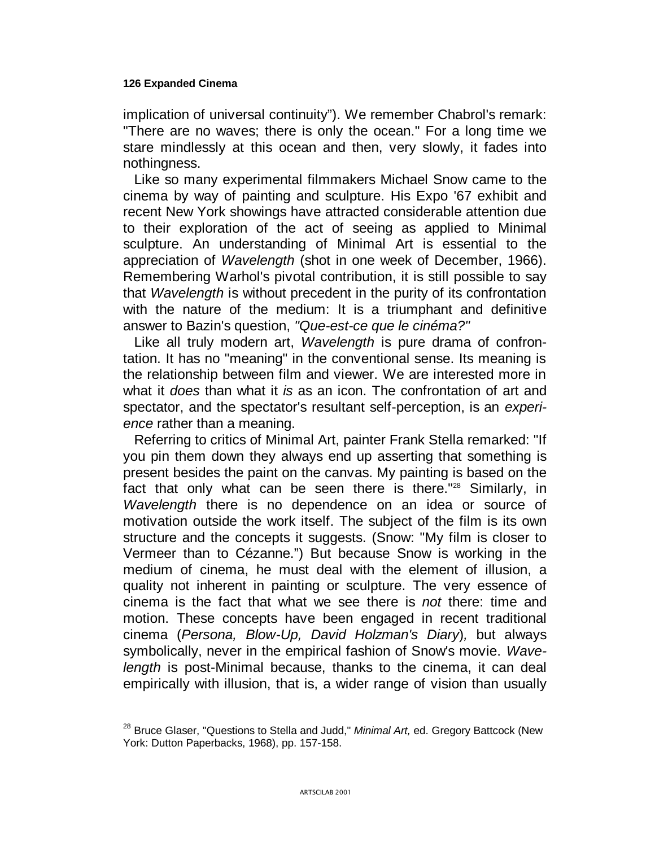implication of universal continuity"). We remember Chabrol's remark: "There are no waves; there is only the ocean." For a long time we stare mindlessly at this ocean and then, very slowly, it fades into nothingness.

Like so many experimental filmmakers Michael Snow came to the cinema by way of painting and sculpture. His Expo '67 exhibit and recent New York showings have attracted considerable attention due to their exploration of the act of seeing as applied to Minimal sculpture. An understanding of Minimal Art is essential to the appreciation of *Wavelength* (shot in one week of December, 1966). Remembering Warhol's pivotal contribution, it is still possible to say that *Wavelength* is without precedent in the purity of its confrontation with the nature of the medium: It is a triumphant and definitive answer to Bazin's question, *"Que-est-ce que le cinéma?"*

Like all truly modern art, *Wavelength* is pure drama of confrontation. It has no "meaning" in the conventional sense. Its meaning is the relationship between film and viewer. We are interested more in what it *does* than what it *is* as an icon. The confrontation of art and spectator, and the spectator's resultant self-perception, is an *experience* rather than a meaning.

Referring to critics of Minimal Art, painter Frank Stella remarked: "If you pin them down they always end up asserting that something is present besides the paint on the canvas. My painting is based on the fact that only what can be seen there is there."28 Similarly, in *Wavelength* there is no dependence on an idea or source of motivation outside the work itself. The subject of the film is its own structure and the concepts it suggests. (Snow: "My film is closer to Vermeer than to Cézanne.") But because Snow is working in the medium of cinema, he must deal with the element of illusion, a quality not inherent in painting or sculpture. The very essence of cinema is the fact that what we see there is *not* there: time and motion. These concepts have been engaged in recent traditional cinema (*Persona, Blow-Up, David Holzman's Diary*)*,* but always symbolically, never in the empirical fashion of Snow's movie. *Wavelength* is post-Minimal because, thanks to the cinema, it can deal empirically with illusion, that is, a wider range of vision than usually

<sup>28</sup> Bruce Glaser, "Questions to Stella and Judd," *Minimal Art,* ed. Gregory Battcock (New York: Dutton Paperbacks, 1968), pp. 157-158.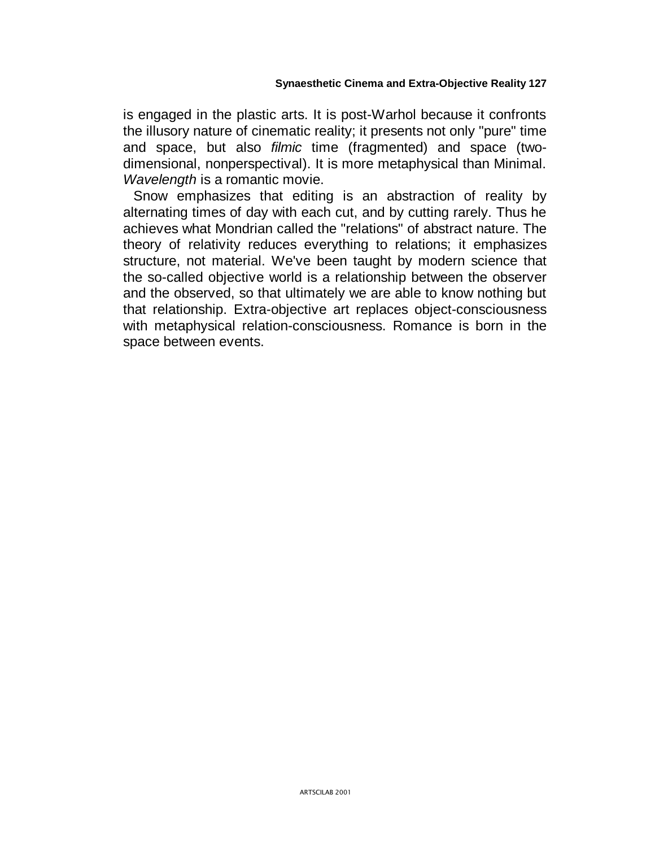is engaged in the plastic arts. It is post-Warhol because it confronts the illusory nature of cinematic reality; it presents not only "pure" time and space, but also *filmic* time (fragmented) and space (twodimensional, nonperspectival). It is more metaphysical than Minimal. *Wavelength* is a romantic movie.

Snow emphasizes that editing is an abstraction of reality by alternating times of day with each cut, and by cutting rarely. Thus he achieves what Mondrian called the "relations" of abstract nature. The theory of relativity reduces everything to relations; it emphasizes structure, not material. We've been taught by modern science that the so-called objective world is a relationship between the observer and the observed, so that ultimately we are able to know nothing but that relationship. Extra-objective art replaces object-consciousness with metaphysical relation-consciousness. Romance is born in the space between events.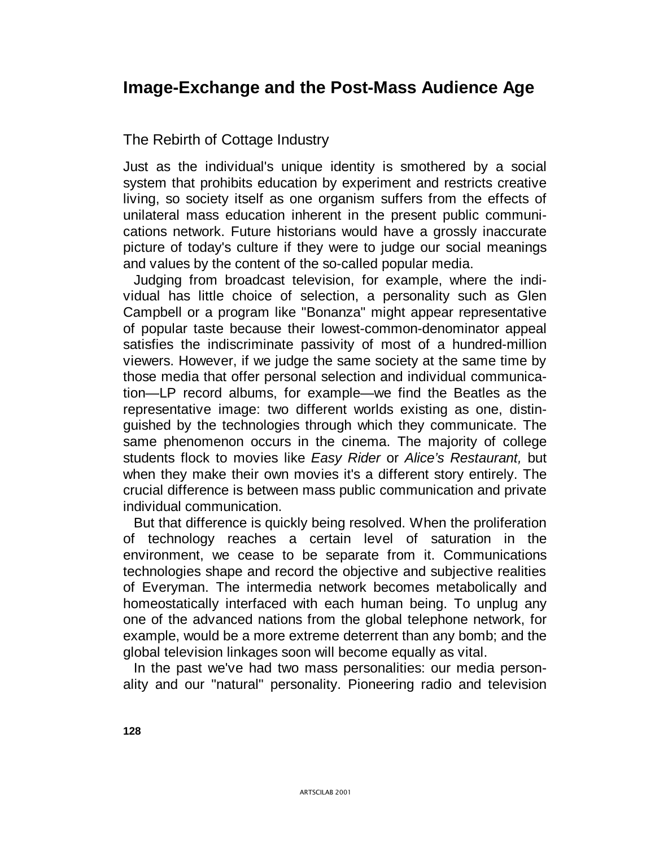# **Image-Exchange and the Post-Mass Audience Age**

## The Rebirth of Cottage Industry

Just as the individual's unique identity is smothered by a social system that prohibits education by experiment and restricts creative living, so society itself as one organism suffers from the effects of unilateral mass education inherent in the present public communications network. Future historians would have a grossly inaccurate picture of today's culture if they were to judge our social meanings and values by the content of the so-called popular media.

Judging from broadcast television, for example, where the individual has little choice of selection, a personality such as Glen Campbell or a program like "Bonanza" might appear representative of popular taste because their lowest-common-denominator appeal satisfies the indiscriminate passivity of most of a hundred-million viewers. However, if we judge the same society at the same time by those media that offer personal selection and individual communication— LP record albums, for example— we find the Beatles as the representative image: two different worlds existing as one, distinguished by the technologies through which they communicate. The same phenomenon occurs in the cinema. The majority of college students flock to movies like *Easy Rider* or *Alice's Restaurant,* but when they make their own movies it's a different story entirely. The crucial difference is between mass public communication and private individual communication.

But that difference is quickly being resolved. When the proliferation of technology reaches a certain level of saturation in the environment, we cease to be separate from it. Communications technologies shape and record the objective and subjective realities of Everyman. The intermedia network becomes metabolically and homeostatically interfaced with each human being. To unplug any one of the advanced nations from the global telephone network, for example, would be a more extreme deterrent than any bomb; and the global television linkages soon will become equally as vital.

In the past we've had two mass personalities: our media personality and our "natural" personality. Pioneering radio and television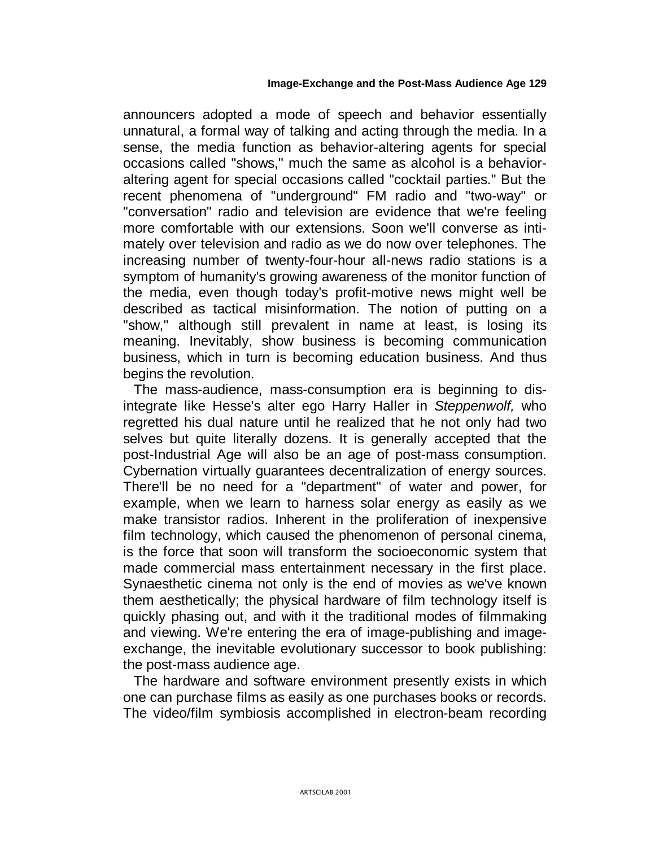announcers adopted a mode of speech and behavior essentially unnatural, a formal way of talking and acting through the media. In a sense, the media function as behavior-altering agents for special occasions called "shows," much the same as alcohol is a behavioraltering agent for special occasions called "cocktail parties." But the recent phenomena of "underground" FM radio and "two-way" or "conversation" radio and television are evidence that we're feeling more comfortable with our extensions. Soon we'll converse as intimately over television and radio as we do now over telephones. The increasing number of twenty-four-hour all-news radio stations is a symptom of humanity's growing awareness of the monitor function of the media, even though today's profit-motive news might well be described as tactical misinformation. The notion of putting on a "show," although still prevalent in name at least, is losing its meaning. Inevitably, show business is becoming communication business, which in turn is becoming education business. And thus begins the revolution.

The mass-audience, mass-consumption era is beginning to disintegrate like Hesse's alter ego Harry Haller in *Steppenwolf,* who regretted his dual nature until he realized that he not only had two selves but quite literally dozens. It is generally accepted that the post-Industrial Age will also be an age of post-mass consumption. Cybernation virtually guarantees decentralization of energy sources. There'll be no need for a "department" of water and power, for example, when we learn to harness solar energy as easily as we make transistor radios. Inherent in the proliferation of inexpensive film technology, which caused the phenomenon of personal cinema, is the force that soon will transform the socioeconomic system that made commercial mass entertainment necessary in the first place. Synaesthetic cinema not only is the end of movies as we've known them aesthetically; the physical hardware of film technology itself is quickly phasing out, and with it the traditional modes of filmmaking and viewing. We're entering the era of image-publishing and imageexchange, the inevitable evolutionary successor to book publishing: the post-mass audience age.

The hardware and software environment presently exists in which one can purchase films as easily as one purchases books or records. The video/film symbiosis accomplished in electron-beam recording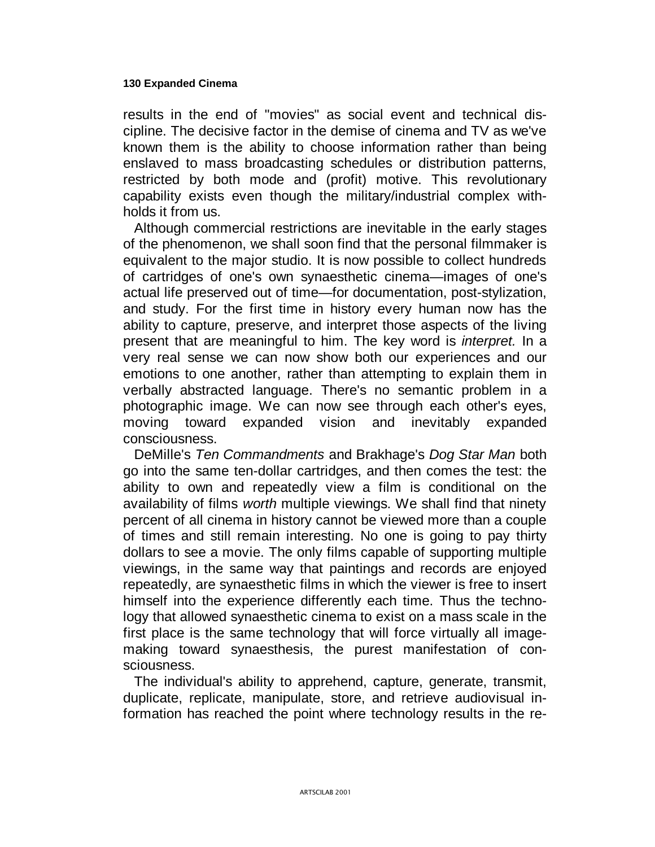results in the end of "movies" as social event and technical discipline. The decisive factor in the demise of cinema and TV as we've known them is the ability to choose information rather than being enslaved to mass broadcasting schedules or distribution patterns, restricted by both mode and (profit) motive. This revolutionary capability exists even though the military/industrial complex withholds it from us.

Although commercial restrictions are inevitable in the early stages of the phenomenon, we shall soon find that the personal filmmaker is equivalent to the major studio. It is now possible to collect hundreds of cartridges of one's own synaesthetic cinema— images of one's actual life preserved out of time— for documentation, post-stylization, and study. For the first time in history every human now has the ability to capture, preserve, and interpret those aspects of the living present that are meaningful to him. The key word is *interpret.* In a very real sense we can now show both our experiences and our emotions to one another, rather than attempting to explain them in verbally abstracted language. There's no semantic problem in a photographic image. We can now see through each other's eyes, moving toward expanded vision and inevitably expanded consciousness.

DeMille's *Ten Commandments* and Brakhage's *Dog Star Man* both go into the same ten-dollar cartridges, and then comes the test: the ability to own and repeatedly view a film is conditional on the availability of films *worth* multiple viewings. We shall find that ninety percent of all cinema in history cannot be viewed more than a couple of times and still remain interesting. No one is going to pay thirty dollars to see a movie. The only films capable of supporting multiple viewings, in the same way that paintings and records are enjoyed repeatedly, are synaesthetic films in which the viewer is free to insert himself into the experience differently each time. Thus the technology that allowed synaesthetic cinema to exist on a mass scale in the first place is the same technology that will force virtually all imagemaking toward synaesthesis, the purest manifestation of consciousness.

The individual's ability to apprehend, capture, generate, transmit, duplicate, replicate, manipulate, store, and retrieve audiovisual information has reached the point where technology results in the re-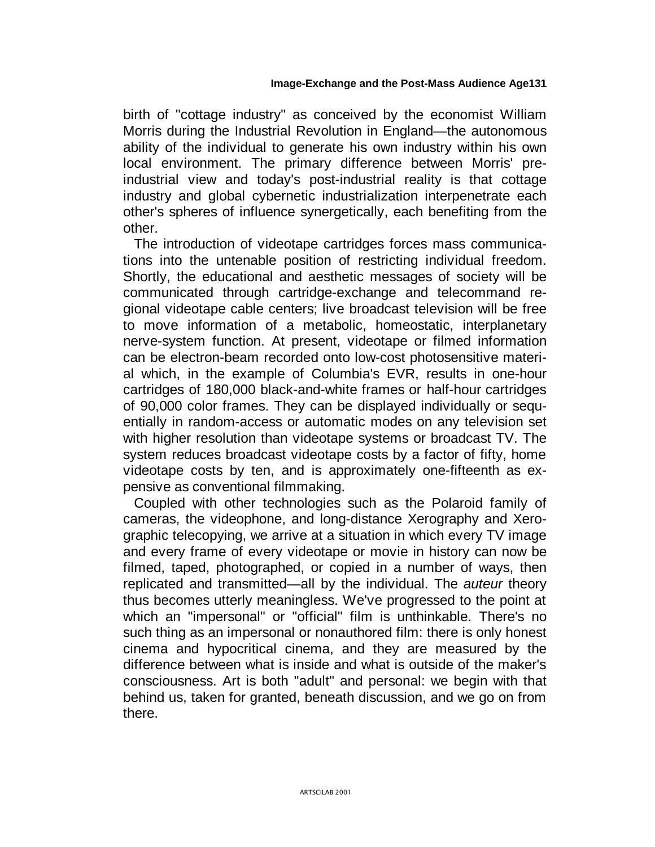birth of "cottage industry" as conceived by the economist William Morris during the Industrial Revolution in England— the autonomous ability of the individual to generate his own industry within his own local environment. The primary difference between Morris' preindustrial view and today's post-industrial reality is that cottage industry and global cybernetic industrialization interpenetrate each other's spheres of influence synergetically, each benefiting from the other.

The introduction of videotape cartridges forces mass communications into the untenable position of restricting individual freedom. Shortly, the educational and aesthetic messages of society will be communicated through cartridge-exchange and telecommand regional videotape cable centers; live broadcast television will be free to move information of a metabolic, homeostatic, interplanetary nerve-system function. At present, videotape or filmed information can be electron-beam recorded onto low-cost photosensitive material which, in the example of Columbia's EVR, results in one-hour cartridges of 180,000 black-and-white frames or half-hour cartridges of 90,000 color frames. They can be displayed individually or sequentially in random-access or automatic modes on any television set with higher resolution than videotape systems or broadcast TV. The system reduces broadcast videotape costs by a factor of fifty, home videotape costs by ten, and is approximately one-fifteenth as expensive as conventional filmmaking.

Coupled with other technologies such as the Polaroid family of cameras, the videophone, and long-distance Xerography and Xerographic telecopying, we arrive at a situation in which every TV image and every frame of every videotape or movie in history can now be filmed, taped, photographed, or copied in a number of ways, then replicated and transmitted— all by the individual. The *auteur* theory thus becomes utterly meaningless. We've progressed to the point at which an "impersonal" or "official" film is unthinkable. There's no such thing as an impersonal or nonauthored film: there is only honest cinema and hypocritical cinema, and they are measured by the difference between what is inside and what is outside of the maker's consciousness. Art is both "adult" and personal: we begin with that behind us, taken for granted, beneath discussion, and we go on from there.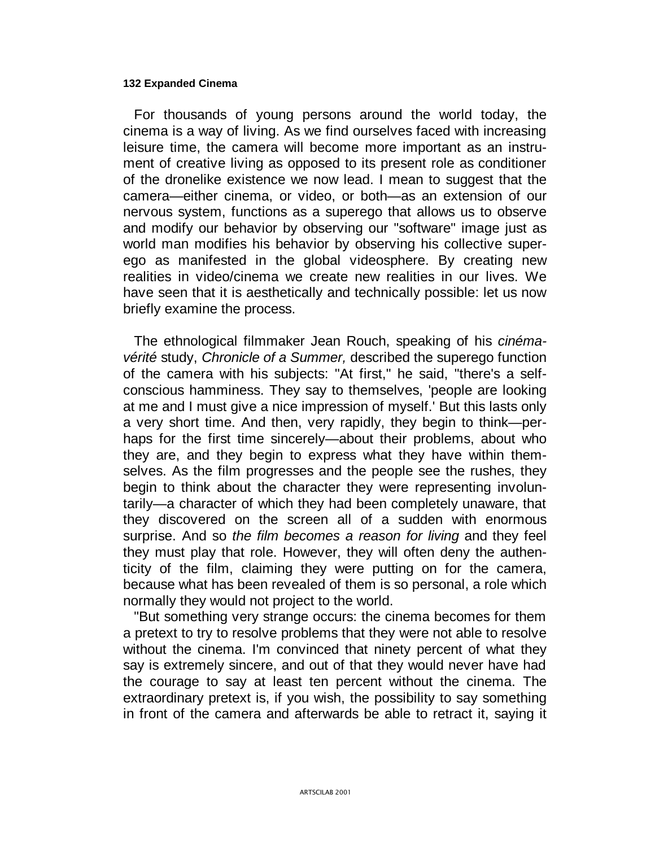For thousands of young persons around the world today, the cinema is a way of living. As we find ourselves faced with increasing leisure time, the camera will become more important as an instrument of creative living as opposed to its present role as conditioner of the dronelike existence we now lead. I mean to suggest that the camera— either cinema, or video, or both— as an extension of our nervous system, functions as a superego that allows us to observe and modify our behavior by observing our "software" image just as world man modifies his behavior by observing his collective superego as manifested in the global videosphere. By creating new realities in video/cinema we create new realities in our lives. We have seen that it is aesthetically and technically possible: let us now briefly examine the process.

The ethnological filmmaker Jean Rouch, speaking of his *cinémavérité* study, *Chronicle of a Summer,* described the superego function of the camera with his subjects: "At first," he said, "there's a selfconscious hamminess. They say to themselves, 'people are looking at me and I must give a nice impression of myself.' But this lasts only a very short time. And then, very rapidly, they begin to think— perhaps for the first time sincerely— about their problems, about who they are, and they begin to express what they have within themselves. As the film progresses and the people see the rushes, they begin to think about the character they were representing involuntarily— a character of which they had been completely unaware, that they discovered on the screen all of a sudden with enormous surprise. And so *the film becomes a reason for living* and they feel they must play that role. However, they will often deny the authenticity of the film, claiming they were putting on for the camera, because what has been revealed of them is so personal, a role which normally they would not project to the world.

"But something very strange occurs: the cinema becomes for them a pretext to try to resolve problems that they were not able to resolve without the cinema. I'm convinced that ninety percent of what they say is extremely sincere, and out of that they would never have had the courage to say at least ten percent without the cinema. The extraordinary pretext is, if you wish, the possibility to say something in front of the camera and afterwards be able to retract it, saying it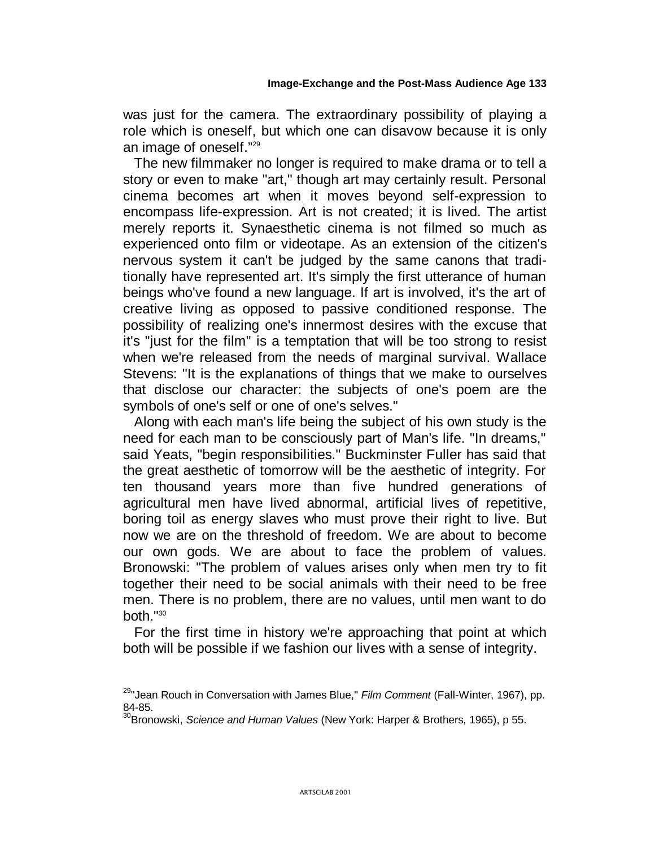was just for the camera. The extraordinary possibility of playing a role which is oneself, but which one can disavow because it is only an image of oneself."<sup>29</sup>

The new filmmaker no longer is required to make drama or to tell a story or even to make "art," though art may certainly result. Personal cinema becomes art when it moves beyond self-expression to encompass life-expression. Art is not created; it is lived. The artist merely reports it. Synaesthetic cinema is not filmed so much as experienced onto film or videotape. As an extension of the citizen's nervous system it can't be judged by the same canons that traditionally have represented art. It's simply the first utterance of human beings who've found a new language. If art is involved, it's the art of creative living as opposed to passive conditioned response. The possibility of realizing one's innermost desires with the excuse that it's "just for the film" is a temptation that will be too strong to resist when we're released from the needs of marginal survival. Wallace Stevens: "It is the explanations of things that we make to ourselves that disclose our character: the subjects of one's poem are the symbols of one's self or one of one's selves."

Along with each man's life being the subject of his own study is the need for each man to be consciously part of Man's life. "In dreams," said Yeats, "begin responsibilities." Buckminster Fuller has said that the great aesthetic of tomorrow will be the aesthetic of integrity. For ten thousand years more than five hundred generations of agricultural men have lived abnormal, artificial lives of repetitive, boring toil as energy slaves who must prove their right to live. But now we are on the threshold of freedom. We are about to become our own gods. We are about to face the problem of values. Bronowski: "The problem of values arises only when men try to fit together their need to be social animals with their need to be free men. There is no problem, there are no values, until men want to do both."<sup>30</sup>

For the first time in history we're approaching that point at which both will be possible if we fashion our lives with a sense of integrity.

<sup>29</sup>"Jean Rouch in Conversation with James Blue," *Film Comment* (Fall-Winter, 1967), pp. 84-85.

<sup>30</sup>Bronowski, *Science and Human Values* (New York: Harper & Brothers, 1965), p 55.